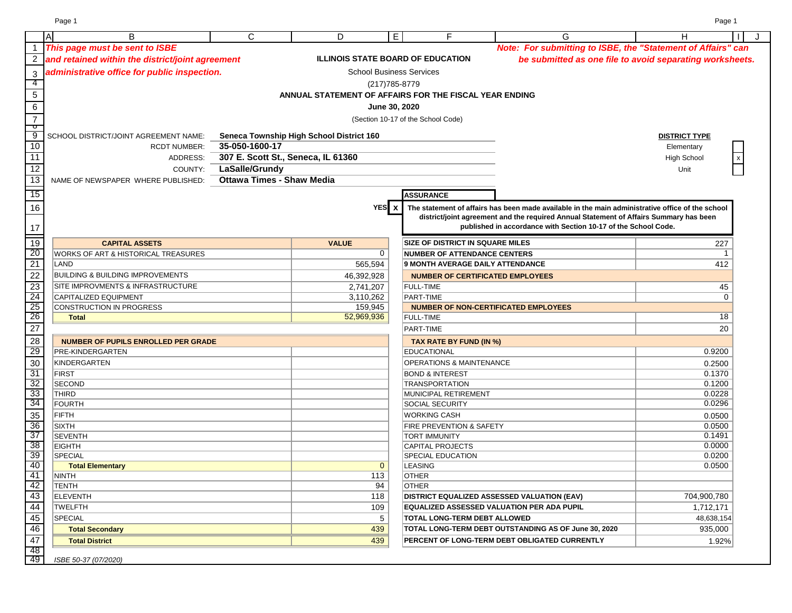Page 1 Page 1

|                                                                             | ΙA<br>В                                          | $\mathsf{C}$                       | D                                        | E.                              | F                                                      | G                                                                                                | H                                                        |
|-----------------------------------------------------------------------------|--------------------------------------------------|------------------------------------|------------------------------------------|---------------------------------|--------------------------------------------------------|--------------------------------------------------------------------------------------------------|----------------------------------------------------------|
|                                                                             | This page must be sent to ISBE                   |                                    |                                          |                                 |                                                        | Note: For submitting to ISBE, the "Statement of Affairs" can                                     |                                                          |
| $\boldsymbol{2}$                                                            | and retained within the district/joint agreement |                                    |                                          |                                 | <b>ILLINOIS STATE BOARD OF EDUCATION</b>               |                                                                                                  | be submitted as one file to avoid separating worksheets. |
| $\mathfrak{S}$                                                              | administrative office for public inspection.     |                                    |                                          | <b>School Business Services</b> |                                                        |                                                                                                  |                                                          |
| $\overline{4}$                                                              |                                                  |                                    |                                          | (217) 785-8779                  |                                                        |                                                                                                  |                                                          |
| $\overline{5}$                                                              |                                                  |                                    |                                          |                                 | ANNUAL STATEMENT OF AFFAIRS FOR THE FISCAL YEAR ENDING |                                                                                                  |                                                          |
| $6\overline{6}$                                                             |                                                  |                                    |                                          |                                 |                                                        |                                                                                                  |                                                          |
|                                                                             |                                                  |                                    |                                          | June 30, 2020                   |                                                        |                                                                                                  |                                                          |
| $\overline{7}$<br>$\overline{\phantom{a}}$                                  |                                                  |                                    |                                          |                                 | (Section 10-17 of the School Code)                     |                                                                                                  |                                                          |
| $\overline{9}$                                                              | SCHOOL DISTRICT/JOINT AGREEMENT NAME:            |                                    | Seneca Township High School District 160 |                                 |                                                        |                                                                                                  | <b>DISTRICT TYPE</b>                                     |
| 10                                                                          | <b>RCDT NUMBER:</b>                              | 35-050-1600-17                     |                                          |                                 |                                                        |                                                                                                  | Elementary                                               |
| 11                                                                          | ADDRESS:                                         | 307 E. Scott St., Seneca, IL 61360 |                                          |                                 |                                                        |                                                                                                  | <b>High School</b>                                       |
| 12                                                                          | COUNTY:                                          | LaSalle/Grundy                     |                                          |                                 |                                                        |                                                                                                  | Unit                                                     |
| $\overline{13}$                                                             | NAME OF NEWSPAPER WHERE PUBLISHED:               | <b>Ottawa Times - Shaw Media</b>   |                                          |                                 |                                                        |                                                                                                  |                                                          |
| $\overline{15}$                                                             |                                                  |                                    |                                          |                                 |                                                        |                                                                                                  |                                                          |
|                                                                             |                                                  |                                    |                                          |                                 | <b>ASSURANCE</b>                                       |                                                                                                  |                                                          |
| $16\,$                                                                      |                                                  |                                    |                                          | YES x                           |                                                        | The statement of affairs has been made available in the main administrative office of the school |                                                          |
|                                                                             |                                                  |                                    |                                          |                                 |                                                        | district/joint agreement and the required Annual Statement of Affairs Summary has been           |                                                          |
| $17\,$                                                                      |                                                  |                                    |                                          |                                 |                                                        | published in accordance with Section 10-17 of the School Code.                                   |                                                          |
| $\frac{1}{19}$<br>$\frac{1}{20}$<br>$\frac{20}{21}$                         | <b>CAPITAL ASSETS</b>                            |                                    | <b>VALUE</b>                             |                                 | <b>SIZE OF DISTRICT IN SQUARE MILES</b>                |                                                                                                  | 227                                                      |
|                                                                             | WORKS OF ART & HISTORICAL TREASURES              |                                    |                                          | $\mathbf 0$                     | <b>NUMBER OF ATTENDANCE CENTERS</b>                    |                                                                                                  | -1                                                       |
|                                                                             | LAND                                             |                                    |                                          | 565,594                         | <b>9 MONTH AVERAGE DAILY ATTENDANCE</b>                |                                                                                                  | 412                                                      |
| $\frac{22}{23}$<br>$\frac{23}{24}$<br>$\frac{25}{26}$                       | <b>BUILDING &amp; BUILDING IMPROVEMENTS</b>      |                                    |                                          | 46,392,928                      | <b>NUMBER OF CERTIFICATED EMPLOYEES</b>                |                                                                                                  |                                                          |
|                                                                             | <b>SITE IMPROVMENTS &amp; INFRASTRUCTURE</b>     |                                    |                                          | 2,741,207                       | <b>FULL-TIME</b>                                       |                                                                                                  | 45                                                       |
|                                                                             | CAPITALIZED EQUIPMENT                            |                                    |                                          | 3,110,262                       | PART-TIME                                              |                                                                                                  | 0                                                        |
|                                                                             | CONSTRUCTION IN PROGRESS                         |                                    |                                          | 159,945                         | <b>NUMBER OF NON-CERTIFICATED EMPLOYEES</b>            |                                                                                                  |                                                          |
|                                                                             | <b>Total</b>                                     |                                    |                                          | 52,969,936                      | <b>FULL-TIME</b>                                       |                                                                                                  | 18                                                       |
| $\overline{27}$                                                             |                                                  |                                    |                                          |                                 | PART-TIME                                              |                                                                                                  | 20                                                       |
| $\frac{28}{29}$                                                             | <b>NUMBER OF PUPILS ENROLLED PER GRADE</b>       |                                    |                                          |                                 | TAX RATE BY FUND (IN %)                                |                                                                                                  |                                                          |
|                                                                             | PRE-KINDERGARTEN                                 |                                    |                                          |                                 | <b>EDUCATIONAL</b>                                     |                                                                                                  | 0.9200                                                   |
| 30                                                                          | <b>KINDERGARTEN</b>                              |                                    |                                          |                                 | <b>OPERATIONS &amp; MAINTENANCE</b>                    |                                                                                                  | 0.2500                                                   |
| 31                                                                          | FIRST                                            |                                    |                                          |                                 | <b>BOND &amp; INTEREST</b>                             |                                                                                                  | 0.1370                                                   |
|                                                                             | <b>SECOND</b>                                    |                                    |                                          |                                 | <b>TRANSPORTATION</b>                                  |                                                                                                  | 0.1200                                                   |
|                                                                             | <b>THIRD</b>                                     |                                    |                                          |                                 | MUNICIPAL RETIREMENT                                   |                                                                                                  | 0.0228                                                   |
| $rac{32}{35}$<br>35                                                         | FOURTH                                           |                                    |                                          |                                 | SOCIAL SECURITY                                        |                                                                                                  | 0.0296                                                   |
|                                                                             | FIFTH                                            |                                    |                                          |                                 | <b>WORKING CASH</b>                                    |                                                                                                  | 0.0500                                                   |
|                                                                             | <b>SIXTH</b>                                     |                                    |                                          |                                 | <b>FIRE PREVENTION &amp; SAFETY</b>                    |                                                                                                  | 0.0500                                                   |
|                                                                             | <b>SEVENTH</b>                                   |                                    |                                          |                                 | <b>TORT IMMUNITY</b>                                   |                                                                                                  | 0.1491                                                   |
| $\begin{array}{r} 36 \\ \hline 37 \\ 38 \\ \hline 40 \\ \hline \end{array}$ | <b>EIGHTH</b>                                    |                                    |                                          |                                 | <b>CAPITAL PROJECTS</b>                                |                                                                                                  | 0.0000                                                   |
|                                                                             | <b>SPECIAL</b>                                   |                                    |                                          |                                 | SPECIAL EDUCATION                                      |                                                                                                  | 0.0200                                                   |
|                                                                             | <b>Total Elementary</b>                          |                                    |                                          | $\mathbf{0}$                    | <b>LEASING</b>                                         |                                                                                                  | 0.0500                                                   |
| $\overline{41}$                                                             | <b>NINTH</b>                                     |                                    |                                          | 113                             | <b>OTHER</b>                                           |                                                                                                  |                                                          |
| $\frac{42}{43}$                                                             | <b>TENTH</b>                                     |                                    |                                          | 94                              | <b>OTHER</b>                                           |                                                                                                  |                                                          |
| 44                                                                          | <b>ELEVENTH</b>                                  |                                    |                                          | 118                             | <b>DISTRICT EQUALIZED ASSESSED VALUATION (EAV)</b>     |                                                                                                  | 704,900,780                                              |
|                                                                             | <b>TWELFTH</b>                                   |                                    |                                          | 109                             |                                                        | <b>EQUALIZED ASSESSED VALUATION PER ADA PUPIL</b>                                                | 1,712,171                                                |
| $\overline{45}$<br>$\overline{46}$                                          | <b>SPECIAL</b>                                   |                                    |                                          | 5                               | TOTAL LONG-TERM DEBT ALLOWED                           |                                                                                                  | 48,638,154                                               |
|                                                                             | <b>Total Secondary</b>                           |                                    |                                          | 439                             |                                                        | TOTAL LONG-TERM DEBT OUTSTANDING AS OF June 30, 2020                                             | 935,000                                                  |
| 47                                                                          | <b>Total District</b>                            |                                    |                                          | 439                             |                                                        | PERCENT OF LONG-TERM DEBT OBLIGATED CURRENTLY                                                    | 1.92%                                                    |
| $\overline{48}$<br>49                                                       | ISBE 50-37 (07/2020)                             |                                    |                                          |                                 |                                                        |                                                                                                  |                                                          |
|                                                                             |                                                  |                                    |                                          |                                 |                                                        |                                                                                                  |                                                          |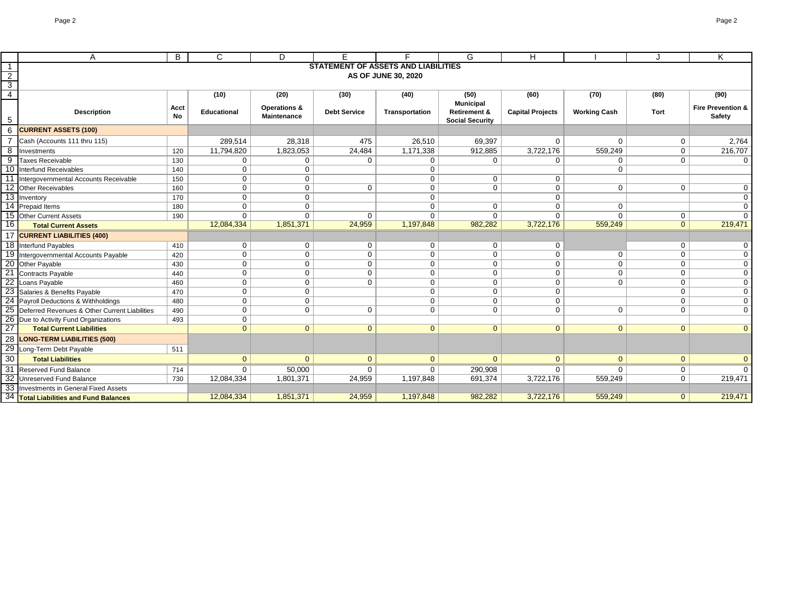|                         | A                                                | B                          | $\mathsf{C}$       | D                       | Е                   | F                                          | G                                                 | H                       |                     |                | K                            |
|-------------------------|--------------------------------------------------|----------------------------|--------------------|-------------------------|---------------------|--------------------------------------------|---------------------------------------------------|-------------------------|---------------------|----------------|------------------------------|
| $\overline{\mathbf{1}}$ |                                                  |                            |                    |                         |                     | <b>STATEMENT OF ASSETS AND LIABILITIES</b> |                                                   |                         |                     |                |                              |
| $\overline{2}$          |                                                  | <b>AS OF JUNE 30, 2020</b> |                    |                         |                     |                                            |                                                   |                         |                     |                |                              |
| $\overline{3}$          |                                                  |                            |                    |                         |                     |                                            |                                                   |                         |                     |                |                              |
| $\overline{4}$          |                                                  |                            | (10)               | (20)                    | (30)                | (40)                                       | (50)                                              | (60)                    | (70)                | (80)           | (90)                         |
|                         |                                                  | Acct                       |                    | <b>Operations &amp;</b> |                     |                                            | <b>Municipal</b>                                  |                         |                     |                | <b>Fire Prevention &amp;</b> |
| $\overline{5}$          | <b>Description</b>                               | <b>No</b>                  | <b>Educational</b> | <b>Maintenance</b>      | <b>Debt Service</b> | Transportation                             | <b>Retirement &amp;</b><br><b>Social Security</b> | <b>Capital Projects</b> | <b>Working Cash</b> | <b>Tort</b>    | <b>Safety</b>                |
|                         | <b>CURRENT ASSETS (100)</b>                      |                            |                    |                         |                     |                                            |                                                   |                         |                     |                |                              |
|                         | Cash (Accounts 111 thru 115)                     |                            | 289,514            | 28,318                  | 475                 | 26,510                                     | 69,397                                            | 0                       | $\Omega$            | $\mathbf 0$    | 2,764                        |
| 8                       | Investments                                      | 120                        | 11,794,820         | 1,823,053               | 24,484              | 1,171,338                                  | 912,885                                           | 3,722,176               | 559,249             | $\mathbf 0$    | 216,707                      |
| 9                       | Taxes Receivable                                 | 130                        | $\mathbf 0$        | $\mathbf 0$             | 0                   | 0                                          | 0                                                 | 0                       | 0                   | $\mathbf 0$    | $\overline{0}$               |
|                         | 10 Interfund Receivables                         | 140                        | $\mathbf 0$        | $\overline{0}$          |                     | $\Omega$                                   |                                                   |                         | $\mathbf{0}$        |                |                              |
|                         | Intergovernmental Accounts Receivable            | 150                        | $\overline{0}$     | $\overline{0}$          |                     | $\Omega$                                   | $\mathbf 0$                                       | 0                       |                     |                |                              |
|                         | 12 Other Receivables                             | 160                        | $\overline{0}$     | $\overline{0}$          | $\mathbf 0$         | $\mathbf{0}$                               | $\overline{0}$                                    | $\overline{0}$          | $\mathbf 0$         | $\mathbf{0}$   | $\overline{0}$               |
|                         | 13 Inventory                                     | 170                        | $\overline{0}$     | $\overline{0}$          |                     | 0                                          |                                                   | $\overline{0}$          |                     |                | $\overline{0}$               |
|                         | 14 Prepaid Items                                 | 180                        | $\overline{0}$     | $\mathbf 0$             |                     | $\Omega$                                   | $\mathbf 0$                                       | 0                       | $\mathbf 0$         |                | $\overline{0}$               |
|                         | 15 Other Current Assets                          | 190                        | $\Omega$           | $\Omega$                | $\Omega$            | $\Omega$                                   | $\Omega$                                          | $\Omega$                | $\Omega$            | $\mathbf 0$    | $\overline{\mathfrak{o}}$    |
| 16                      | <b>Total Current Assets</b>                      |                            | 12,084,334         | 1,851,371               | 24,959              | 1,197,848                                  | 982,282                                           | 3,722,176               | 559,249             | $\overline{0}$ | 219,471                      |
|                         | 17 CURRENT LIABILITIES (400)                     |                            |                    |                         |                     |                                            |                                                   |                         |                     |                |                              |
|                         | 18 Interfund Payables                            | 410                        | $\overline{0}$     | $\overline{0}$          | $\mathbf 0$         | 0                                          | $\mathbf 0$                                       | 0                       |                     | $\Omega$       | $\overline{0}$               |
|                         | 19 Intergovernmental Accounts Payable            | 420                        | $\overline{0}$     | $\mathbf 0$             | 0                   | $\Omega$                                   | $\mathbf 0$                                       | $\Omega$                | $\mathbf 0$         | $\Omega$       | $\overline{0}$               |
|                         | 20 Other Payable                                 | 430                        | $\overline{0}$     | $\overline{0}$          | $\mathbf 0$         | $\Omega$                                   | $\mathbf 0$                                       | $\Omega$                | $\mathbf 0$         | $\Omega$       | $\overline{0}$               |
| 21                      | Contracts Payable                                | 440                        | $\overline{0}$     | $\overline{0}$          | 0                   | $\mathbf 0$                                | $\mathbf 0$                                       | 0                       | $\mathbf 0$         | $\mathbf 0$    | $\overline{0}$               |
| $\overline{22}$         | Loans Payable                                    | 460                        | $\mathbf 0$        | $\mathbf 0$             | 0                   | 0                                          | $\mathbf 0$                                       | 0                       | $\mathbf 0$         | $\mathbf 0$    | $\overline{0}$               |
|                         | 23 Salaries & Benefits Payable                   | 470                        | 0 <sup>1</sup>     | $\overline{0}$          |                     | $\Omega$                                   | $\mathbf 0$                                       | $\mathbf 0$             |                     | $\Omega$       | $\overline{0}$               |
|                         | 24 Payroll Deductions & Withholdings             | 480                        | $\overline{0}$     | $\overline{0}$          |                     | $\Omega$                                   | $\mathbf 0$                                       | 0                       |                     | $\Omega$       | $\overline{0}$               |
|                         | 25 Deferred Revenues & Other Current Liabilities | 490                        | 0 <sup>1</sup>     | 0 <sup>1</sup>          | $\mathbf 0$         | $\Omega$                                   | $\mathbf 0$                                       | 0                       | $\mathbf 0$         | $\Omega$       | $\overline{0}$               |
|                         | 26 Due to Activity Fund Organizations            | 493                        | 0 <sup>1</sup>     |                         |                     |                                            |                                                   |                         |                     |                |                              |
| $\overline{27}$         | <b>Total Current Liabilities</b>                 |                            | 0 <sup>1</sup>     | $\overline{0}$          | $\mathbf{0}$        | $\mathbf{0}$                               | $\overline{0}$                                    | $\overline{0}$          | $\mathbf{0}$        | $\overline{0}$ | $\boxed{0}$                  |
| 28                      | <b>LONG-TERM LIABILITIES (500)</b>               |                            |                    |                         |                     |                                            |                                                   |                         |                     |                |                              |
| 29                      | Long-Term Debt Payable                           | 511                        |                    |                         |                     |                                            |                                                   |                         |                     |                |                              |
| 30                      | <b>Total Liabilities</b>                         |                            | $\overline{0}$     | $\overline{0}$          | $\mathbf{0}$        | $\overline{0}$                             | $\Omega$                                          | $\overline{0}$          | $\overline{0}$      | $\overline{0}$ | $\mathbf{0}$                 |
| 31                      | <b>Reserved Fund Balance</b>                     | 714                        | $\overline{0}$     | 50,000                  | $\overline{0}$      | $\Omega$                                   | 290,908                                           | $\overline{0}$          | $\Omega$            | $\overline{0}$ | $\overline{0}$               |
|                         | 32 Unreserved Fund Balance                       | 730                        | 12,084,334         | 1,801,371               | 24,959              | 1,197,848                                  | 691,374                                           | 3,722,176               | 559,249             | $\mathbf{0}$   | 219,471                      |
|                         | 33 Investments in General Fixed Assets           |                            |                    |                         |                     |                                            |                                                   |                         |                     |                |                              |
|                         | 34 Total Liabilities and Fund Balances           |                            | 12,084,334         | 1,851,371               | 24,959              | 1,197,848                                  | 982,282                                           | 3,722,176               | 559,249             | $\overline{0}$ | 219,471                      |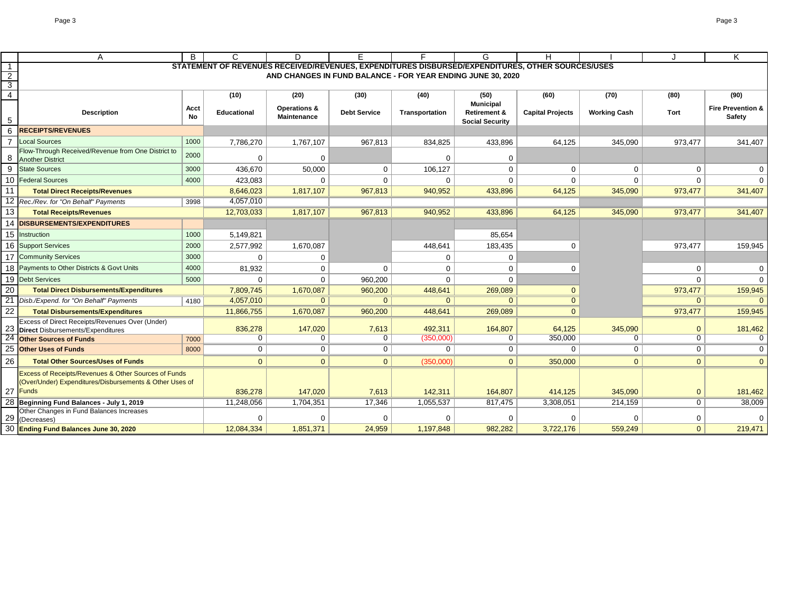| STATEMENT OF REVENUES RECEIVED/REVENUES, EXPENDITURES DISBURSED/EXPENDITURES, OTHER SOURCES/USES<br>$\overline{1}$<br>$\overline{2}$<br>AND CHANGES IN FUND BALANCE - FOR YEAR ENDING JUNE 30, 2020<br>$\overline{3}$<br>$\overline{4}$<br>(40)<br>(10)<br>(20)<br>(30)<br>(50)<br>(60)<br>(70)<br>(80)<br><b>Municipal</b><br><b>Operations &amp;</b><br><b>Acct</b><br><b>Debt Service</b><br><b>Retirement &amp;</b><br><b>Description</b><br><b>Capital Projects</b><br><b>Working Cash</b><br>Tort<br><b>Educational</b><br>Transportation<br>No<br><b>Maintenance</b><br>5<br><b>Social Security</b><br>6<br><b>RECEIPTS/REVENUES</b><br>Local Sources<br>1000<br>7,786,270<br>1,767,107<br>967,813<br>834,825<br>433,896<br>64,125<br>345,090<br>Flow-Through Received/Revenue from One District to<br>2000<br>0<br>$\mathbf 0$<br>$\mathbf 0$<br>$\Omega$<br>8<br><b>Another District</b><br>9<br><b>State Sources</b><br>3000<br>$\mathbf 0$<br>106,127<br>$\mathbf 0$<br>$\mathbf 0$<br>$\mathbf 0$<br>436,670<br>50,000<br>10 Federal Sources<br>$\Omega$<br>4000<br>423,083<br>$\mathbf 0$<br>$\mathbf 0$<br>$\Omega$<br>$\Omega$<br>1,817,107<br>967,813<br>11<br><b>Total Direct Receipts/Revenues</b><br>8,646,023<br>940,952<br>433,896<br>64,125<br>345,090<br>12 Rec./Rev. for "On Behalf" Payments<br>4,057,010<br>3998<br>13<br>12,703,033<br>1,817,107<br>967,813<br>940,952<br>433,896<br>64,125<br>345,090<br><b>Total Receipts/Revenues</b><br><b>DISBURSEMENTS/EXPENDITURES</b><br>14<br>15<br>Instruction<br>1000<br>5,149,821<br>85,654<br>16 Support Services<br>2000<br>2,577,992<br>1,670,087<br>448,641<br>183,435<br>$\Omega$<br><b>Community Services</b><br>3000<br>$\mathbf 0$<br>$\mathbf 0$<br>$\Omega$<br>0<br>Payments to Other Districts & Govt Units<br>4000<br>81,932<br>0<br>$\mathbf 0$<br>$\mathbf 0$<br>$\mathbf 0$<br>$\Omega$<br>19 Debt Services<br>5000<br>$\Omega$<br>$\mathbf{0}$<br>$\Omega$<br>$\Omega$<br>960,200<br>20<br>7,809,745<br>1,670,087<br>960,200<br>269,089<br><b>Total Direct Disbursements/Expenditures</b><br>448,641<br>$\mathbf{0}$<br>$\overline{0}$<br>$\overline{0}$<br>$\overline{0}$<br>21<br>4,057,010<br>$\overline{0}$<br>$\overline{0}$<br>Disb./Expend. for "On Behalf" Payments<br>4180 | (90)<br><b>Fire Prevention &amp;</b><br>Safety<br>973,477<br>341,407<br>$\mathbf 0$<br>0<br>$\overline{0}$<br>0<br>341,407<br>973,477<br>341,407<br>973,477 |
|----------------------------------------------------------------------------------------------------------------------------------------------------------------------------------------------------------------------------------------------------------------------------------------------------------------------------------------------------------------------------------------------------------------------------------------------------------------------------------------------------------------------------------------------------------------------------------------------------------------------------------------------------------------------------------------------------------------------------------------------------------------------------------------------------------------------------------------------------------------------------------------------------------------------------------------------------------------------------------------------------------------------------------------------------------------------------------------------------------------------------------------------------------------------------------------------------------------------------------------------------------------------------------------------------------------------------------------------------------------------------------------------------------------------------------------------------------------------------------------------------------------------------------------------------------------------------------------------------------------------------------------------------------------------------------------------------------------------------------------------------------------------------------------------------------------------------------------------------------------------------------------------------------------------------------------------------------------------------------------------------------------------------------------------------------------------------------------------------------------------------------------------------------------------------------------------------------------------------------------------------------------------------|-------------------------------------------------------------------------------------------------------------------------------------------------------------|
|                                                                                                                                                                                                                                                                                                                                                                                                                                                                                                                                                                                                                                                                                                                                                                                                                                                                                                                                                                                                                                                                                                                                                                                                                                                                                                                                                                                                                                                                                                                                                                                                                                                                                                                                                                                                                                                                                                                                                                                                                                                                                                                                                                                                                                                                            |                                                                                                                                                             |
|                                                                                                                                                                                                                                                                                                                                                                                                                                                                                                                                                                                                                                                                                                                                                                                                                                                                                                                                                                                                                                                                                                                                                                                                                                                                                                                                                                                                                                                                                                                                                                                                                                                                                                                                                                                                                                                                                                                                                                                                                                                                                                                                                                                                                                                                            |                                                                                                                                                             |
|                                                                                                                                                                                                                                                                                                                                                                                                                                                                                                                                                                                                                                                                                                                                                                                                                                                                                                                                                                                                                                                                                                                                                                                                                                                                                                                                                                                                                                                                                                                                                                                                                                                                                                                                                                                                                                                                                                                                                                                                                                                                                                                                                                                                                                                                            |                                                                                                                                                             |
|                                                                                                                                                                                                                                                                                                                                                                                                                                                                                                                                                                                                                                                                                                                                                                                                                                                                                                                                                                                                                                                                                                                                                                                                                                                                                                                                                                                                                                                                                                                                                                                                                                                                                                                                                                                                                                                                                                                                                                                                                                                                                                                                                                                                                                                                            |                                                                                                                                                             |
|                                                                                                                                                                                                                                                                                                                                                                                                                                                                                                                                                                                                                                                                                                                                                                                                                                                                                                                                                                                                                                                                                                                                                                                                                                                                                                                                                                                                                                                                                                                                                                                                                                                                                                                                                                                                                                                                                                                                                                                                                                                                                                                                                                                                                                                                            |                                                                                                                                                             |
|                                                                                                                                                                                                                                                                                                                                                                                                                                                                                                                                                                                                                                                                                                                                                                                                                                                                                                                                                                                                                                                                                                                                                                                                                                                                                                                                                                                                                                                                                                                                                                                                                                                                                                                                                                                                                                                                                                                                                                                                                                                                                                                                                                                                                                                                            |                                                                                                                                                             |
|                                                                                                                                                                                                                                                                                                                                                                                                                                                                                                                                                                                                                                                                                                                                                                                                                                                                                                                                                                                                                                                                                                                                                                                                                                                                                                                                                                                                                                                                                                                                                                                                                                                                                                                                                                                                                                                                                                                                                                                                                                                                                                                                                                                                                                                                            |                                                                                                                                                             |
|                                                                                                                                                                                                                                                                                                                                                                                                                                                                                                                                                                                                                                                                                                                                                                                                                                                                                                                                                                                                                                                                                                                                                                                                                                                                                                                                                                                                                                                                                                                                                                                                                                                                                                                                                                                                                                                                                                                                                                                                                                                                                                                                                                                                                                                                            |                                                                                                                                                             |
|                                                                                                                                                                                                                                                                                                                                                                                                                                                                                                                                                                                                                                                                                                                                                                                                                                                                                                                                                                                                                                                                                                                                                                                                                                                                                                                                                                                                                                                                                                                                                                                                                                                                                                                                                                                                                                                                                                                                                                                                                                                                                                                                                                                                                                                                            |                                                                                                                                                             |
|                                                                                                                                                                                                                                                                                                                                                                                                                                                                                                                                                                                                                                                                                                                                                                                                                                                                                                                                                                                                                                                                                                                                                                                                                                                                                                                                                                                                                                                                                                                                                                                                                                                                                                                                                                                                                                                                                                                                                                                                                                                                                                                                                                                                                                                                            |                                                                                                                                                             |
|                                                                                                                                                                                                                                                                                                                                                                                                                                                                                                                                                                                                                                                                                                                                                                                                                                                                                                                                                                                                                                                                                                                                                                                                                                                                                                                                                                                                                                                                                                                                                                                                                                                                                                                                                                                                                                                                                                                                                                                                                                                                                                                                                                                                                                                                            |                                                                                                                                                             |
|                                                                                                                                                                                                                                                                                                                                                                                                                                                                                                                                                                                                                                                                                                                                                                                                                                                                                                                                                                                                                                                                                                                                                                                                                                                                                                                                                                                                                                                                                                                                                                                                                                                                                                                                                                                                                                                                                                                                                                                                                                                                                                                                                                                                                                                                            |                                                                                                                                                             |
|                                                                                                                                                                                                                                                                                                                                                                                                                                                                                                                                                                                                                                                                                                                                                                                                                                                                                                                                                                                                                                                                                                                                                                                                                                                                                                                                                                                                                                                                                                                                                                                                                                                                                                                                                                                                                                                                                                                                                                                                                                                                                                                                                                                                                                                                            |                                                                                                                                                             |
|                                                                                                                                                                                                                                                                                                                                                                                                                                                                                                                                                                                                                                                                                                                                                                                                                                                                                                                                                                                                                                                                                                                                                                                                                                                                                                                                                                                                                                                                                                                                                                                                                                                                                                                                                                                                                                                                                                                                                                                                                                                                                                                                                                                                                                                                            |                                                                                                                                                             |
|                                                                                                                                                                                                                                                                                                                                                                                                                                                                                                                                                                                                                                                                                                                                                                                                                                                                                                                                                                                                                                                                                                                                                                                                                                                                                                                                                                                                                                                                                                                                                                                                                                                                                                                                                                                                                                                                                                                                                                                                                                                                                                                                                                                                                                                                            |                                                                                                                                                             |
|                                                                                                                                                                                                                                                                                                                                                                                                                                                                                                                                                                                                                                                                                                                                                                                                                                                                                                                                                                                                                                                                                                                                                                                                                                                                                                                                                                                                                                                                                                                                                                                                                                                                                                                                                                                                                                                                                                                                                                                                                                                                                                                                                                                                                                                                            |                                                                                                                                                             |
|                                                                                                                                                                                                                                                                                                                                                                                                                                                                                                                                                                                                                                                                                                                                                                                                                                                                                                                                                                                                                                                                                                                                                                                                                                                                                                                                                                                                                                                                                                                                                                                                                                                                                                                                                                                                                                                                                                                                                                                                                                                                                                                                                                                                                                                                            |                                                                                                                                                             |
|                                                                                                                                                                                                                                                                                                                                                                                                                                                                                                                                                                                                                                                                                                                                                                                                                                                                                                                                                                                                                                                                                                                                                                                                                                                                                                                                                                                                                                                                                                                                                                                                                                                                                                                                                                                                                                                                                                                                                                                                                                                                                                                                                                                                                                                                            | 159,945<br>973,477                                                                                                                                          |
|                                                                                                                                                                                                                                                                                                                                                                                                                                                                                                                                                                                                                                                                                                                                                                                                                                                                                                                                                                                                                                                                                                                                                                                                                                                                                                                                                                                                                                                                                                                                                                                                                                                                                                                                                                                                                                                                                                                                                                                                                                                                                                                                                                                                                                                                            |                                                                                                                                                             |
|                                                                                                                                                                                                                                                                                                                                                                                                                                                                                                                                                                                                                                                                                                                                                                                                                                                                                                                                                                                                                                                                                                                                                                                                                                                                                                                                                                                                                                                                                                                                                                                                                                                                                                                                                                                                                                                                                                                                                                                                                                                                                                                                                                                                                                                                            | $\mathbf 0$<br>$\overline{0}$                                                                                                                               |
|                                                                                                                                                                                                                                                                                                                                                                                                                                                                                                                                                                                                                                                                                                                                                                                                                                                                                                                                                                                                                                                                                                                                                                                                                                                                                                                                                                                                                                                                                                                                                                                                                                                                                                                                                                                                                                                                                                                                                                                                                                                                                                                                                                                                                                                                            | $\overline{0}$<br>$\Omega$                                                                                                                                  |
|                                                                                                                                                                                                                                                                                                                                                                                                                                                                                                                                                                                                                                                                                                                                                                                                                                                                                                                                                                                                                                                                                                                                                                                                                                                                                                                                                                                                                                                                                                                                                                                                                                                                                                                                                                                                                                                                                                                                                                                                                                                                                                                                                                                                                                                                            | 159,945<br>973,477                                                                                                                                          |
|                                                                                                                                                                                                                                                                                                                                                                                                                                                                                                                                                                                                                                                                                                                                                                                                                                                                                                                                                                                                                                                                                                                                                                                                                                                                                                                                                                                                                                                                                                                                                                                                                                                                                                                                                                                                                                                                                                                                                                                                                                                                                                                                                                                                                                                                            | $\overline{0}$<br>$\overline{0}$                                                                                                                            |
| 22<br>269,089<br><b>Total Disbursements/Expenditures</b><br>11,866,755<br>1,670,087<br>960,200<br>448,641<br>$\Omega$                                                                                                                                                                                                                                                                                                                                                                                                                                                                                                                                                                                                                                                                                                                                                                                                                                                                                                                                                                                                                                                                                                                                                                                                                                                                                                                                                                                                                                                                                                                                                                                                                                                                                                                                                                                                                                                                                                                                                                                                                                                                                                                                                      | 973,477<br>159,945                                                                                                                                          |
| <b>Excess of Direct Receipts/Revenues Over (Under)</b>                                                                                                                                                                                                                                                                                                                                                                                                                                                                                                                                                                                                                                                                                                                                                                                                                                                                                                                                                                                                                                                                                                                                                                                                                                                                                                                                                                                                                                                                                                                                                                                                                                                                                                                                                                                                                                                                                                                                                                                                                                                                                                                                                                                                                     |                                                                                                                                                             |
| 836,278<br>147,020<br>7,613<br>492,311<br>164,807<br>64,125<br>345,090<br><b>Direct</b> Disbursements/Expenditures                                                                                                                                                                                                                                                                                                                                                                                                                                                                                                                                                                                                                                                                                                                                                                                                                                                                                                                                                                                                                                                                                                                                                                                                                                                                                                                                                                                                                                                                                                                                                                                                                                                                                                                                                                                                                                                                                                                                                                                                                                                                                                                                                         | 181,462<br>$\overline{0}$                                                                                                                                   |
| 350,000<br>$\overline{0}$<br>$\overline{0}$<br>(350,000)<br>0<br>0<br>$\mathbf 0$<br>7000<br><b>Other Sources of Funds</b>                                                                                                                                                                                                                                                                                                                                                                                                                                                                                                                                                                                                                                                                                                                                                                                                                                                                                                                                                                                                                                                                                                                                                                                                                                                                                                                                                                                                                                                                                                                                                                                                                                                                                                                                                                                                                                                                                                                                                                                                                                                                                                                                                 | $\overline{0}$<br>$\overline{0}$                                                                                                                            |
| 0<br><b>Other Uses of Funds</b><br>$\overline{0}$<br>$\overline{0}$<br>$\overline{0}$<br>0<br>$\Omega$<br>8000<br>$\mathbf{0}$                                                                                                                                                                                                                                                                                                                                                                                                                                                                                                                                                                                                                                                                                                                                                                                                                                                                                                                                                                                                                                                                                                                                                                                                                                                                                                                                                                                                                                                                                                                                                                                                                                                                                                                                                                                                                                                                                                                                                                                                                                                                                                                                             | $\mathbf 0$<br>$\overline{0}$                                                                                                                               |
| 26<br><b>Total Other Sources/Uses of Funds</b><br>$\Omega$<br>$\overline{0}$<br>$\mathbf{0}$<br>$\mathbf{0}$<br>350,000<br>$\Omega$<br>(350,000)                                                                                                                                                                                                                                                                                                                                                                                                                                                                                                                                                                                                                                                                                                                                                                                                                                                                                                                                                                                                                                                                                                                                                                                                                                                                                                                                                                                                                                                                                                                                                                                                                                                                                                                                                                                                                                                                                                                                                                                                                                                                                                                           | $\overline{0}$<br>$\overline{0}$                                                                                                                            |
| Excess of Receipts/Revenues & Other Sources of Funds                                                                                                                                                                                                                                                                                                                                                                                                                                                                                                                                                                                                                                                                                                                                                                                                                                                                                                                                                                                                                                                                                                                                                                                                                                                                                                                                                                                                                                                                                                                                                                                                                                                                                                                                                                                                                                                                                                                                                                                                                                                                                                                                                                                                                       |                                                                                                                                                             |
| (Over/Under) Expenditures/Disbursements & Other Uses of                                                                                                                                                                                                                                                                                                                                                                                                                                                                                                                                                                                                                                                                                                                                                                                                                                                                                                                                                                                                                                                                                                                                                                                                                                                                                                                                                                                                                                                                                                                                                                                                                                                                                                                                                                                                                                                                                                                                                                                                                                                                                                                                                                                                                    |                                                                                                                                                             |
| <b>Funds</b><br>27<br>147,020<br>414,125<br>345,090<br>836,278<br>7,613<br>142,311<br>164,807                                                                                                                                                                                                                                                                                                                                                                                                                                                                                                                                                                                                                                                                                                                                                                                                                                                                                                                                                                                                                                                                                                                                                                                                                                                                                                                                                                                                                                                                                                                                                                                                                                                                                                                                                                                                                                                                                                                                                                                                                                                                                                                                                                              | $\overline{0}$<br>181,462                                                                                                                                   |
| 1,055,537<br>Beginning Fund Balances - July 1, 2019<br>11,248,056<br>1,704,351<br>17,346<br>817,475<br>3,308,051<br>214,159                                                                                                                                                                                                                                                                                                                                                                                                                                                                                                                                                                                                                                                                                                                                                                                                                                                                                                                                                                                                                                                                                                                                                                                                                                                                                                                                                                                                                                                                                                                                                                                                                                                                                                                                                                                                                                                                                                                                                                                                                                                                                                                                                | 38,009<br>$\overline{0}$                                                                                                                                    |
| Other Changes in Fund Balances Increases<br>$\Omega$<br>0<br>$\mathbf 0$<br>0<br>$\Omega$<br>$\Omega$<br>(Decreases)                                                                                                                                                                                                                                                                                                                                                                                                                                                                                                                                                                                                                                                                                                                                                                                                                                                                                                                                                                                                                                                                                                                                                                                                                                                                                                                                                                                                                                                                                                                                                                                                                                                                                                                                                                                                                                                                                                                                                                                                                                                                                                                                                       |                                                                                                                                                             |
| 1,197,848<br>982,282<br>3,722,176<br><b>Ending Fund Balances June 30, 2020</b><br>12,084,334<br>1,851,371<br>24,959<br>559,249                                                                                                                                                                                                                                                                                                                                                                                                                                                                                                                                                                                                                                                                                                                                                                                                                                                                                                                                                                                                                                                                                                                                                                                                                                                                                                                                                                                                                                                                                                                                                                                                                                                                                                                                                                                                                                                                                                                                                                                                                                                                                                                                             | $\overline{0}$<br>0                                                                                                                                         |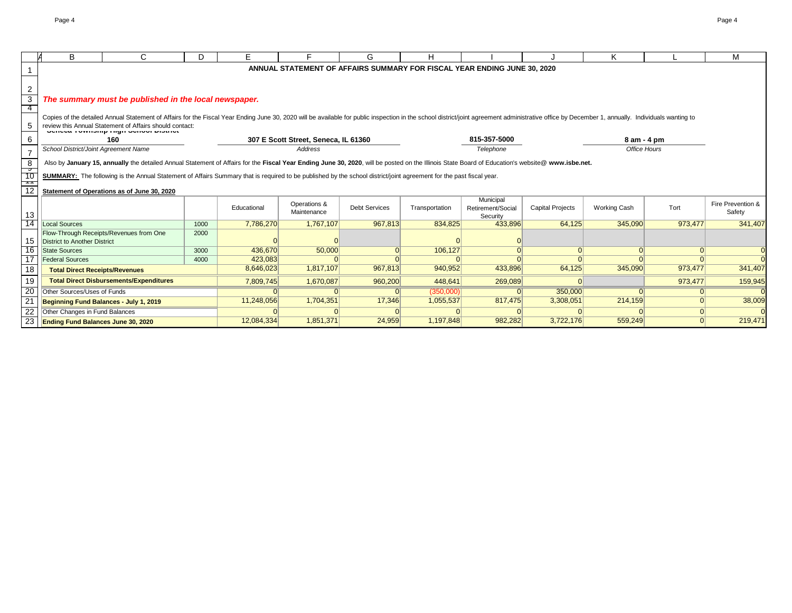|                                                                         | B                                                                                                                                                                                                                                                                                                                                      | C.                                                    | D.   | E.          |                                      | G                    | н              |                                                                          |                         | Κ                   |          | м                           |
|-------------------------------------------------------------------------|----------------------------------------------------------------------------------------------------------------------------------------------------------------------------------------------------------------------------------------------------------------------------------------------------------------------------------------|-------------------------------------------------------|------|-------------|--------------------------------------|----------------------|----------------|--------------------------------------------------------------------------|-------------------------|---------------------|----------|-----------------------------|
|                                                                         |                                                                                                                                                                                                                                                                                                                                        |                                                       |      |             |                                      |                      |                | ANNUAL STATEMENT OF AFFAIRS SUMMARY FOR FISCAL YEAR ENDING JUNE 30, 2020 |                         |                     |          |                             |
|                                                                         |                                                                                                                                                                                                                                                                                                                                        |                                                       |      |             |                                      |                      |                |                                                                          |                         |                     |          |                             |
| $\overline{2}$                                                          |                                                                                                                                                                                                                                                                                                                                        |                                                       |      |             |                                      |                      |                |                                                                          |                         |                     |          |                             |
| $\overline{3}$                                                          |                                                                                                                                                                                                                                                                                                                                        | The summary must be published in the local newspaper. |      |             |                                      |                      |                |                                                                          |                         |                     |          |                             |
| -4                                                                      |                                                                                                                                                                                                                                                                                                                                        |                                                       |      |             |                                      |                      |                |                                                                          |                         |                     |          |                             |
| 5                                                                       | Copies of the detailed Annual Statement of Affairs for the Fiscal Year Ending June 30, 2020 will be available for public inspection in the school district/joint agreement administrative office by December 1, annually. Indi<br>review this Annual Statement of Affairs should contact:<br><b>UCHCOG TUWHOMIP HIGH UCHOU DIOUTOL</b> |                                                       |      |             |                                      |                      |                |                                                                          |                         |                     |          |                             |
| 6                                                                       | 160                                                                                                                                                                                                                                                                                                                                    |                                                       |      |             | 307 E Scott Street, Seneca, IL 61360 |                      |                | 815-357-5000                                                             |                         | $8$ am - $4$ pm     |          |                             |
| $\overline{7}$                                                          | School District/Joint Agreement Name                                                                                                                                                                                                                                                                                                   |                                                       |      |             | <b>Address</b>                       |                      |                | Telephone                                                                |                         | <b>Office Hours</b> |          |                             |
| 8                                                                       | Also by January 15, annually the detailed Annual Statement of Affairs for the Fiscal Year Ending June 30, 2020, will be posted on the Illinois State Board of Education's website@ www.isbe.net.                                                                                                                                       |                                                       |      |             |                                      |                      |                |                                                                          |                         |                     |          |                             |
| $\overline{\phantom{a}}$<br>$\overline{10}$<br>$\overline{\phantom{a}}$ | SUMMARY: The following is the Annual Statement of Affairs Summary that is required to be published by the school district/joint agreement for the past fiscal year.                                                                                                                                                                    |                                                       |      |             |                                      |                      |                |                                                                          |                         |                     |          |                             |
| 12                                                                      |                                                                                                                                                                                                                                                                                                                                        | Statement of Operations as of June 30, 2020           |      |             |                                      |                      |                |                                                                          |                         |                     |          |                             |
| 13                                                                      |                                                                                                                                                                                                                                                                                                                                        |                                                       |      | Educational | Operations &<br>Maintenance          | <b>Debt Services</b> | Transportation | Municipal<br>Retirement/Social<br>Security                               | <b>Capital Projects</b> | <b>Working Cash</b> | Tort     | Fire Prevention &<br>Safety |
| 14                                                                      | Local Sources                                                                                                                                                                                                                                                                                                                          |                                                       | 1000 | 7,786,270   | 1,767,107                            | 967,813              | 834,825        | 433,896                                                                  | 64,125                  | 345,090             | 973,477  | 341,407                     |
| 15                                                                      | District to Another District                                                                                                                                                                                                                                                                                                           | Flow-Through Receipts/Revenues from One               | 2000 |             |                                      |                      |                |                                                                          |                         |                     |          |                             |
| 16                                                                      | State Sources                                                                                                                                                                                                                                                                                                                          |                                                       | 3000 | 436,670     | 50,000                               |                      | 106,127        |                                                                          | $\Omega$                | $\Omega$            | $\Omega$ |                             |
| $\overline{17}$                                                         | <b>Federal Sources</b>                                                                                                                                                                                                                                                                                                                 |                                                       | 4000 | 423,083     |                                      |                      |                |                                                                          |                         |                     |          |                             |
| 18                                                                      | <b>Total Direct Receipts/Revenues</b>                                                                                                                                                                                                                                                                                                  |                                                       |      | 8,646,023   | 1,817,107                            | 967,813              | 940,952        | 433,896                                                                  | 64,125                  | 345,090             | 973,477  | 341,407                     |
| 19                                                                      |                                                                                                                                                                                                                                                                                                                                        | <b>Total Direct Disbursements/Expenditures</b>        |      | 7,809,745   | 1,670,087                            | 960,200              | 448,641        | 269,089                                                                  |                         |                     | 973,477  | 159,945                     |
| 20                                                                      | Other Sources/Uses of Funds                                                                                                                                                                                                                                                                                                            |                                                       |      |             |                                      |                      | (350,000)      |                                                                          | 350,000                 |                     |          |                             |
| $\overline{21}$                                                         | Beginning Fund Balances - July 1, 2019                                                                                                                                                                                                                                                                                                 |                                                       |      | 11,248,056  | 1,704,351                            | 17,346               | 1,055,537      | 817,475                                                                  | 3,308,051               | 214,159             | $\Omega$ | 38,009                      |
| $\overline{22}$                                                         | Other Changes in Fund Balances                                                                                                                                                                                                                                                                                                         |                                                       |      |             |                                      |                      |                |                                                                          |                         |                     | 0        |                             |
| $\overline{23}$                                                         | <b>Ending Fund Balances June 30, 2020</b>                                                                                                                                                                                                                                                                                              |                                                       |      | 12,084,334  | 1,851,371                            | 24,959               | 1,197,848      | 982,282                                                                  | 3,722,176               | 559,249             |          | 219,471                     |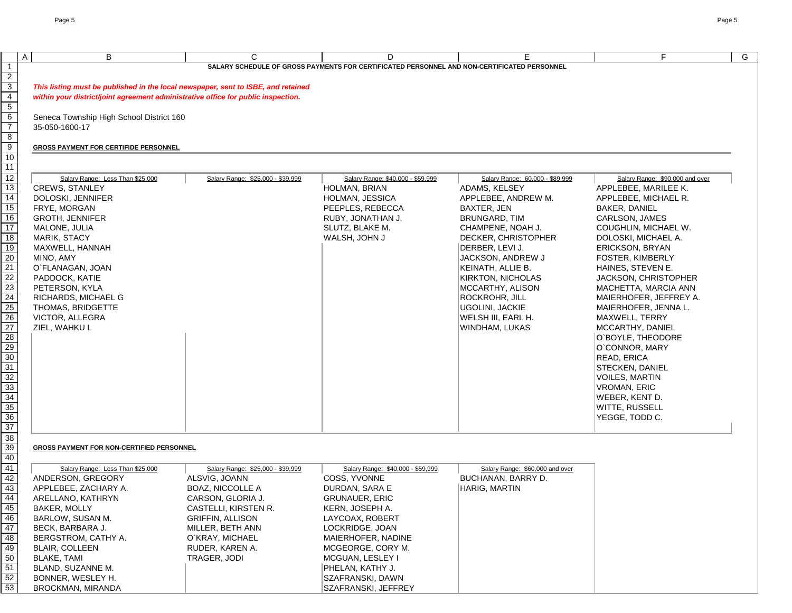| $\mathsf{A}$<br>B                                                                                                                                                                                                                                                                                                                                                                                                                                      | $\mathsf{C}$                                                                                                                                                                                                                    | D                                                                                                                                                                                                                                                            | E.                                                                                                                                                                                                                                                                                                                                                                        | F.                                                                                                                                                                                                                                                                                                                                                                                                                                                                                                                                                             | G |
|--------------------------------------------------------------------------------------------------------------------------------------------------------------------------------------------------------------------------------------------------------------------------------------------------------------------------------------------------------------------------------------------------------------------------------------------------------|---------------------------------------------------------------------------------------------------------------------------------------------------------------------------------------------------------------------------------|--------------------------------------------------------------------------------------------------------------------------------------------------------------------------------------------------------------------------------------------------------------|---------------------------------------------------------------------------------------------------------------------------------------------------------------------------------------------------------------------------------------------------------------------------------------------------------------------------------------------------------------------------|----------------------------------------------------------------------------------------------------------------------------------------------------------------------------------------------------------------------------------------------------------------------------------------------------------------------------------------------------------------------------------------------------------------------------------------------------------------------------------------------------------------------------------------------------------------|---|
|                                                                                                                                                                                                                                                                                                                                                                                                                                                        |                                                                                                                                                                                                                                 | SALARY SCHEDULE OF GROSS PAYMENTS FOR CERTIFICATED PERSONNEL AND NON-CERTIFICATED PERSONNEL                                                                                                                                                                  |                                                                                                                                                                                                                                                                                                                                                                           |                                                                                                                                                                                                                                                                                                                                                                                                                                                                                                                                                                |   |
| Seneca Township High School District 160<br>35-050-1600-17<br><b>GROSS PAYMENT FOR CERTIFIDE PERSONNEL</b><br>Salary Range: Less Than \$25,000<br><b>CREWS, STANLEY</b><br>DOLOSKI, JENNIFER<br>FRYE, MORGAN<br><b>GROTH, JENNIFER</b><br>MALONE, JULIA<br>MARIK, STACY<br>MAXWELL, HANNAH<br>MINO, AMY<br>O`FLANAGAN, JOAN<br>PADDOCK, KATIE<br>PETERSON, KYLA<br>RICHARDS, MICHAEL G<br>THOMAS, BRIDGETTE<br><b>VICTOR, ALLEGRA</b><br>ZIEL, WAHKU L | This listing must be published in the local newspaper, sent to ISBE, and retained<br>within your district/joint agreement administrative office for public inspection.<br>Salary Range: \$25,000 - \$39,999                     | Salary Range: \$40,000 - \$59,999<br>HOLMAN, BRIAN<br>HOLMAN, JESSICA<br>PEEPLES, REBECCA<br>RUBY, JONATHAN J.<br>SLUTZ, BLAKE M.<br>WALSH, JOHN J                                                                                                           | Salary Range: 60,000 - \$89,999<br>ADAMS, KELSEY<br>APPLEBEE, ANDREW M.<br>BAXTER, JEN<br><b>BRUNGARD, TIM</b><br>CHAMPENE, NOAH J.<br>DECKER, CHRISTOPHER<br>DERBER, LEVI J.<br>JACKSON, ANDREW J<br><b>KEINATH, ALLIE B.</b><br><b>KIRKTON, NICHOLAS</b><br>MCCARTHY, ALISON<br><b>ROCKROHR, JILL</b><br><b>UGOLINI, JACKIE</b><br>WELSH III, EARL H.<br>WINDHAM, LUKAS | Salary Range: \$90,000 and over<br>APPLEBEE, MARILEE K.<br>APPLEBEE, MICHAEL R.<br><b>BAKER, DANIEL</b><br>CARLSON, JAMES<br>COUGHLIN, MICHAEL W.<br>DOLOSKI, MICHAEL A.<br><b>ERICKSON, BRYAN</b><br><b>FOSTER, KIMBERLY</b><br>HAINES, STEVEN E.<br>JACKSON, CHRISTOPHER<br>MACHETTA, MARCIA ANN<br>MAIERHOFER, JEFFREY A.<br>MAIERHOFER, JENNA L.<br>MAXWELL, TERRY<br>MCCARTHY, DANIEL<br>O'BOYLE, THEODORE<br>O`CONNOR, MARY<br><b>READ, ERICA</b><br>STECKEN, DANIEL<br><b>VOILES, MARTIN</b><br><b>VROMAN, ERIC</b><br>WEBER, KENT D.<br>WITTE, RUSSELL |   |
| <b>GROSS PAYMENT FOR NON-CERTIFIED PERSONNEL</b><br>Salary Range: Less Than \$25,000<br>ANDERSON, GREGORY<br>APPLEBEE, ZACHARY A.<br>ARELLANO, KATHRYN<br><b>BAKER, MOLLY</b><br>BARLOW, SUSAN M.<br>BECK, BARBARA J.<br>BERGSTROM, CATHY A.<br><b>BLAIR, COLLEEN</b><br><b>BLAKE, TAMI</b><br>BLAND, SUZANNE M.<br>BONNER, WESLEY H.                                                                                                                  | Salary Range: \$25,000 - \$39,999<br>ALSVIG, JOANN<br><b>BOAZ, NICCOLLE A</b><br>CARSON, GLORIA J.<br>CASTELLI, KIRSTEN R.<br><b>GRIFFIN, ALLISON</b><br>MILLER, BETH ANN<br>O`KRAY, MICHAEL<br>RUDER, KAREN A.<br>TRAGER, JODI | Salary Range: \$40,000 - \$59,999<br>COSS, YVONNE<br>DURDAN, SARA E<br><b>GRUNAUER, ERIC</b><br>KERN, JOSEPH A.<br>LAYCOAX, ROBERT<br>LOCKRIDGE, JOAN<br>MAIERHOFER, NADINE<br>MCGEORGE, CORY M.<br>MCGUAN, LESLEY I<br>PHELAN, KATHY J.<br>SZAFRANSKI, DAWN | Salary Range: \$60,000 and over<br>BUCHANAN, BARRY D.<br><b>HARIG, MARTIN</b>                                                                                                                                                                                                                                                                                             |                                                                                                                                                                                                                                                                                                                                                                                                                                                                                                                                                                |   |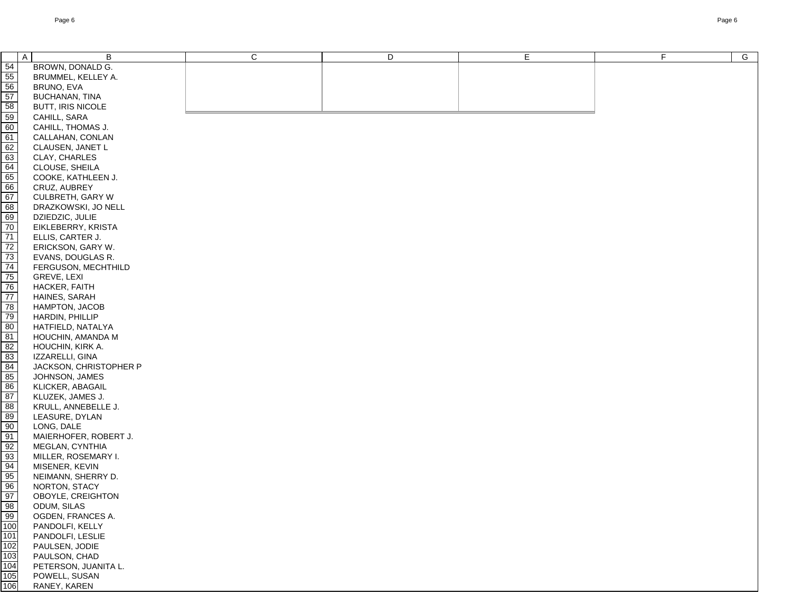| $\frac{54}{55}$<br>BROWN, DONALD G.<br>BRUMMEL, KELLEY A.<br>BRUNO, EVA<br>57<br><b>BUCHANAN, TINA</b><br>58<br>BUTT, IRIS NICOLE<br>$\frac{59}{60}$<br>CAHILL, SARA<br>CAHILL, THOMAS J.<br>61<br>CALLAHAN, CONLAN<br>$\begin{array}{r} 62 \\ 63 \\ \hline 64 \\ \hline 65 \\ \hline 66 \\ \hline 67 \end{array}$<br>CLAUSEN, JANET L<br>CLAY, CHARLES<br>CLOUSE, SHEILA<br>COOKE, KATHLEEN J.<br>CRUZ, AUBREY<br>CULBRETH, GARY W<br>$\frac{68}{69}$<br>$\frac{70}{70}$<br>DRAZKOWSKI, JO NELL<br>DZIEDZIC, JULIE<br>EIKLEBERRY, KRISTA<br>71<br>ELLIS, CARTER J.<br>72<br>ERICKSON, GARY W.<br>$\overline{73}$<br>EVANS, DOUGLAS R.<br>74<br>75<br>76<br>77<br>78<br>79<br>80<br>81<br>82<br>83<br>FERGUSON, MECHTHILD<br><b>GREVE, LEXI</b><br>HACKER, FAITH<br>HAINES, SARAH<br>HAMPTON, JACOB<br>HARDIN, PHILLIP<br>HATFIELD, NATALYA<br>HOUCHIN, AMANDA M<br>HOUCHIN, KIRK A.<br>IZZARELLI, GINA<br>84<br>JACKSON, CHRISTOPHER P<br>85<br>JOHNSON, JAMES<br>86<br>KLICKER, ABAGAIL<br>87<br>KLUZEK, JAMES J.<br>88<br>KRULL, ANNEBELLE J.<br>LEASURE, DYLAN<br>LONG, DALE<br>MAIERHOFER, ROBERT J.<br>MEGLAN, CYNTHIA<br>MILLER, ROSEMARY I.<br>MISENER, KEVIN<br>NEIMANN, SHERRY D.<br>NORTON, STACY<br>OBOYLE, CREIGHTON<br>ODUM, SILAS<br>OGDEN, FRANCES A.<br>PANDOLFI, KELLY<br>$\frac{101}{102}$ $\frac{103}{104}$ $\frac{104}{105}$<br>PANDOLFI, LESLIE<br>PAULSEN, JODIE<br>PAULSON, CHAD<br>PETERSON, JUANITA L.<br>POWELL, SUSAN<br>106<br>RANEY, KAREN | $\overline{A}$<br>B | $\mathsf C$ | D | E | F | $\overline{G}$ |
|--------------------------------------------------------------------------------------------------------------------------------------------------------------------------------------------------------------------------------------------------------------------------------------------------------------------------------------------------------------------------------------------------------------------------------------------------------------------------------------------------------------------------------------------------------------------------------------------------------------------------------------------------------------------------------------------------------------------------------------------------------------------------------------------------------------------------------------------------------------------------------------------------------------------------------------------------------------------------------------------------------------------------------------------------------------------------------------------------------------------------------------------------------------------------------------------------------------------------------------------------------------------------------------------------------------------------------------------------------------------------------------------------------------------------------------------------------------------------|---------------------|-------------|---|---|---|----------------|
|                                                                                                                                                                                                                                                                                                                                                                                                                                                                                                                                                                                                                                                                                                                                                                                                                                                                                                                                                                                                                                                                                                                                                                                                                                                                                                                                                                                                                                                                          |                     |             |   |   |   |                |
|                                                                                                                                                                                                                                                                                                                                                                                                                                                                                                                                                                                                                                                                                                                                                                                                                                                                                                                                                                                                                                                                                                                                                                                                                                                                                                                                                                                                                                                                          |                     |             |   |   |   |                |
|                                                                                                                                                                                                                                                                                                                                                                                                                                                                                                                                                                                                                                                                                                                                                                                                                                                                                                                                                                                                                                                                                                                                                                                                                                                                                                                                                                                                                                                                          |                     |             |   |   |   |                |
|                                                                                                                                                                                                                                                                                                                                                                                                                                                                                                                                                                                                                                                                                                                                                                                                                                                                                                                                                                                                                                                                                                                                                                                                                                                                                                                                                                                                                                                                          |                     |             |   |   |   |                |
|                                                                                                                                                                                                                                                                                                                                                                                                                                                                                                                                                                                                                                                                                                                                                                                                                                                                                                                                                                                                                                                                                                                                                                                                                                                                                                                                                                                                                                                                          |                     |             |   |   |   |                |
|                                                                                                                                                                                                                                                                                                                                                                                                                                                                                                                                                                                                                                                                                                                                                                                                                                                                                                                                                                                                                                                                                                                                                                                                                                                                                                                                                                                                                                                                          |                     |             |   |   |   |                |
|                                                                                                                                                                                                                                                                                                                                                                                                                                                                                                                                                                                                                                                                                                                                                                                                                                                                                                                                                                                                                                                                                                                                                                                                                                                                                                                                                                                                                                                                          |                     |             |   |   |   |                |
|                                                                                                                                                                                                                                                                                                                                                                                                                                                                                                                                                                                                                                                                                                                                                                                                                                                                                                                                                                                                                                                                                                                                                                                                                                                                                                                                                                                                                                                                          |                     |             |   |   |   |                |
|                                                                                                                                                                                                                                                                                                                                                                                                                                                                                                                                                                                                                                                                                                                                                                                                                                                                                                                                                                                                                                                                                                                                                                                                                                                                                                                                                                                                                                                                          |                     |             |   |   |   |                |
|                                                                                                                                                                                                                                                                                                                                                                                                                                                                                                                                                                                                                                                                                                                                                                                                                                                                                                                                                                                                                                                                                                                                                                                                                                                                                                                                                                                                                                                                          |                     |             |   |   |   |                |
|                                                                                                                                                                                                                                                                                                                                                                                                                                                                                                                                                                                                                                                                                                                                                                                                                                                                                                                                                                                                                                                                                                                                                                                                                                                                                                                                                                                                                                                                          |                     |             |   |   |   |                |
|                                                                                                                                                                                                                                                                                                                                                                                                                                                                                                                                                                                                                                                                                                                                                                                                                                                                                                                                                                                                                                                                                                                                                                                                                                                                                                                                                                                                                                                                          |                     |             |   |   |   |                |
|                                                                                                                                                                                                                                                                                                                                                                                                                                                                                                                                                                                                                                                                                                                                                                                                                                                                                                                                                                                                                                                                                                                                                                                                                                                                                                                                                                                                                                                                          |                     |             |   |   |   |                |
|                                                                                                                                                                                                                                                                                                                                                                                                                                                                                                                                                                                                                                                                                                                                                                                                                                                                                                                                                                                                                                                                                                                                                                                                                                                                                                                                                                                                                                                                          |                     |             |   |   |   |                |
|                                                                                                                                                                                                                                                                                                                                                                                                                                                                                                                                                                                                                                                                                                                                                                                                                                                                                                                                                                                                                                                                                                                                                                                                                                                                                                                                                                                                                                                                          |                     |             |   |   |   |                |
|                                                                                                                                                                                                                                                                                                                                                                                                                                                                                                                                                                                                                                                                                                                                                                                                                                                                                                                                                                                                                                                                                                                                                                                                                                                                                                                                                                                                                                                                          |                     |             |   |   |   |                |
|                                                                                                                                                                                                                                                                                                                                                                                                                                                                                                                                                                                                                                                                                                                                                                                                                                                                                                                                                                                                                                                                                                                                                                                                                                                                                                                                                                                                                                                                          |                     |             |   |   |   |                |
|                                                                                                                                                                                                                                                                                                                                                                                                                                                                                                                                                                                                                                                                                                                                                                                                                                                                                                                                                                                                                                                                                                                                                                                                                                                                                                                                                                                                                                                                          |                     |             |   |   |   |                |
|                                                                                                                                                                                                                                                                                                                                                                                                                                                                                                                                                                                                                                                                                                                                                                                                                                                                                                                                                                                                                                                                                                                                                                                                                                                                                                                                                                                                                                                                          |                     |             |   |   |   |                |
|                                                                                                                                                                                                                                                                                                                                                                                                                                                                                                                                                                                                                                                                                                                                                                                                                                                                                                                                                                                                                                                                                                                                                                                                                                                                                                                                                                                                                                                                          |                     |             |   |   |   |                |
|                                                                                                                                                                                                                                                                                                                                                                                                                                                                                                                                                                                                                                                                                                                                                                                                                                                                                                                                                                                                                                                                                                                                                                                                                                                                                                                                                                                                                                                                          |                     |             |   |   |   |                |
|                                                                                                                                                                                                                                                                                                                                                                                                                                                                                                                                                                                                                                                                                                                                                                                                                                                                                                                                                                                                                                                                                                                                                                                                                                                                                                                                                                                                                                                                          |                     |             |   |   |   |                |
|                                                                                                                                                                                                                                                                                                                                                                                                                                                                                                                                                                                                                                                                                                                                                                                                                                                                                                                                                                                                                                                                                                                                                                                                                                                                                                                                                                                                                                                                          |                     |             |   |   |   |                |
|                                                                                                                                                                                                                                                                                                                                                                                                                                                                                                                                                                                                                                                                                                                                                                                                                                                                                                                                                                                                                                                                                                                                                                                                                                                                                                                                                                                                                                                                          |                     |             |   |   |   |                |
|                                                                                                                                                                                                                                                                                                                                                                                                                                                                                                                                                                                                                                                                                                                                                                                                                                                                                                                                                                                                                                                                                                                                                                                                                                                                                                                                                                                                                                                                          |                     |             |   |   |   |                |
|                                                                                                                                                                                                                                                                                                                                                                                                                                                                                                                                                                                                                                                                                                                                                                                                                                                                                                                                                                                                                                                                                                                                                                                                                                                                                                                                                                                                                                                                          |                     |             |   |   |   |                |
|                                                                                                                                                                                                                                                                                                                                                                                                                                                                                                                                                                                                                                                                                                                                                                                                                                                                                                                                                                                                                                                                                                                                                                                                                                                                                                                                                                                                                                                                          |                     |             |   |   |   |                |
|                                                                                                                                                                                                                                                                                                                                                                                                                                                                                                                                                                                                                                                                                                                                                                                                                                                                                                                                                                                                                                                                                                                                                                                                                                                                                                                                                                                                                                                                          |                     |             |   |   |   |                |
|                                                                                                                                                                                                                                                                                                                                                                                                                                                                                                                                                                                                                                                                                                                                                                                                                                                                                                                                                                                                                                                                                                                                                                                                                                                                                                                                                                                                                                                                          |                     |             |   |   |   |                |
|                                                                                                                                                                                                                                                                                                                                                                                                                                                                                                                                                                                                                                                                                                                                                                                                                                                                                                                                                                                                                                                                                                                                                                                                                                                                                                                                                                                                                                                                          |                     |             |   |   |   |                |
|                                                                                                                                                                                                                                                                                                                                                                                                                                                                                                                                                                                                                                                                                                                                                                                                                                                                                                                                                                                                                                                                                                                                                                                                                                                                                                                                                                                                                                                                          |                     |             |   |   |   |                |
|                                                                                                                                                                                                                                                                                                                                                                                                                                                                                                                                                                                                                                                                                                                                                                                                                                                                                                                                                                                                                                                                                                                                                                                                                                                                                                                                                                                                                                                                          |                     |             |   |   |   |                |
|                                                                                                                                                                                                                                                                                                                                                                                                                                                                                                                                                                                                                                                                                                                                                                                                                                                                                                                                                                                                                                                                                                                                                                                                                                                                                                                                                                                                                                                                          |                     |             |   |   |   |                |
|                                                                                                                                                                                                                                                                                                                                                                                                                                                                                                                                                                                                                                                                                                                                                                                                                                                                                                                                                                                                                                                                                                                                                                                                                                                                                                                                                                                                                                                                          |                     |             |   |   |   |                |
|                                                                                                                                                                                                                                                                                                                                                                                                                                                                                                                                                                                                                                                                                                                                                                                                                                                                                                                                                                                                                                                                                                                                                                                                                                                                                                                                                                                                                                                                          |                     |             |   |   |   |                |
|                                                                                                                                                                                                                                                                                                                                                                                                                                                                                                                                                                                                                                                                                                                                                                                                                                                                                                                                                                                                                                                                                                                                                                                                                                                                                                                                                                                                                                                                          |                     |             |   |   |   |                |
|                                                                                                                                                                                                                                                                                                                                                                                                                                                                                                                                                                                                                                                                                                                                                                                                                                                                                                                                                                                                                                                                                                                                                                                                                                                                                                                                                                                                                                                                          |                     |             |   |   |   |                |
|                                                                                                                                                                                                                                                                                                                                                                                                                                                                                                                                                                                                                                                                                                                                                                                                                                                                                                                                                                                                                                                                                                                                                                                                                                                                                                                                                                                                                                                                          |                     |             |   |   |   |                |
|                                                                                                                                                                                                                                                                                                                                                                                                                                                                                                                                                                                                                                                                                                                                                                                                                                                                                                                                                                                                                                                                                                                                                                                                                                                                                                                                                                                                                                                                          |                     |             |   |   |   |                |
|                                                                                                                                                                                                                                                                                                                                                                                                                                                                                                                                                                                                                                                                                                                                                                                                                                                                                                                                                                                                                                                                                                                                                                                                                                                                                                                                                                                                                                                                          |                     |             |   |   |   |                |
|                                                                                                                                                                                                                                                                                                                                                                                                                                                                                                                                                                                                                                                                                                                                                                                                                                                                                                                                                                                                                                                                                                                                                                                                                                                                                                                                                                                                                                                                          |                     |             |   |   |   |                |
|                                                                                                                                                                                                                                                                                                                                                                                                                                                                                                                                                                                                                                                                                                                                                                                                                                                                                                                                                                                                                                                                                                                                                                                                                                                                                                                                                                                                                                                                          |                     |             |   |   |   |                |
|                                                                                                                                                                                                                                                                                                                                                                                                                                                                                                                                                                                                                                                                                                                                                                                                                                                                                                                                                                                                                                                                                                                                                                                                                                                                                                                                                                                                                                                                          |                     |             |   |   |   |                |
|                                                                                                                                                                                                                                                                                                                                                                                                                                                                                                                                                                                                                                                                                                                                                                                                                                                                                                                                                                                                                                                                                                                                                                                                                                                                                                                                                                                                                                                                          |                     |             |   |   |   |                |
|                                                                                                                                                                                                                                                                                                                                                                                                                                                                                                                                                                                                                                                                                                                                                                                                                                                                                                                                                                                                                                                                                                                                                                                                                                                                                                                                                                                                                                                                          |                     |             |   |   |   |                |
|                                                                                                                                                                                                                                                                                                                                                                                                                                                                                                                                                                                                                                                                                                                                                                                                                                                                                                                                                                                                                                                                                                                                                                                                                                                                                                                                                                                                                                                                          |                     |             |   |   |   |                |
|                                                                                                                                                                                                                                                                                                                                                                                                                                                                                                                                                                                                                                                                                                                                                                                                                                                                                                                                                                                                                                                                                                                                                                                                                                                                                                                                                                                                                                                                          |                     |             |   |   |   |                |
|                                                                                                                                                                                                                                                                                                                                                                                                                                                                                                                                                                                                                                                                                                                                                                                                                                                                                                                                                                                                                                                                                                                                                                                                                                                                                                                                                                                                                                                                          |                     |             |   |   |   |                |
|                                                                                                                                                                                                                                                                                                                                                                                                                                                                                                                                                                                                                                                                                                                                                                                                                                                                                                                                                                                                                                                                                                                                                                                                                                                                                                                                                                                                                                                                          |                     |             |   |   |   |                |
|                                                                                                                                                                                                                                                                                                                                                                                                                                                                                                                                                                                                                                                                                                                                                                                                                                                                                                                                                                                                                                                                                                                                                                                                                                                                                                                                                                                                                                                                          |                     |             |   |   |   |                |
|                                                                                                                                                                                                                                                                                                                                                                                                                                                                                                                                                                                                                                                                                                                                                                                                                                                                                                                                                                                                                                                                                                                                                                                                                                                                                                                                                                                                                                                                          |                     |             |   |   |   |                |
|                                                                                                                                                                                                                                                                                                                                                                                                                                                                                                                                                                                                                                                                                                                                                                                                                                                                                                                                                                                                                                                                                                                                                                                                                                                                                                                                                                                                                                                                          |                     |             |   |   |   |                |
|                                                                                                                                                                                                                                                                                                                                                                                                                                                                                                                                                                                                                                                                                                                                                                                                                                                                                                                                                                                                                                                                                                                                                                                                                                                                                                                                                                                                                                                                          |                     |             |   |   |   |                |
|                                                                                                                                                                                                                                                                                                                                                                                                                                                                                                                                                                                                                                                                                                                                                                                                                                                                                                                                                                                                                                                                                                                                                                                                                                                                                                                                                                                                                                                                          |                     |             |   |   |   |                |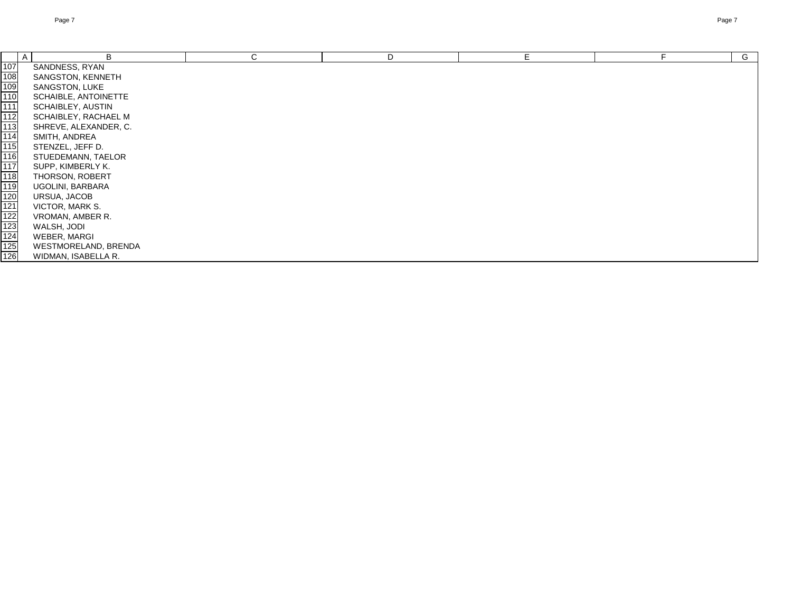|                                                                       | $\overline{A}$<br>B   | C | D | E. | G |
|-----------------------------------------------------------------------|-----------------------|---|---|----|---|
| $\frac{107}{108}$ $\frac{109}{111}$                                   | SANDNESS, RYAN        |   |   |    |   |
|                                                                       | SANGSTON, KENNETH     |   |   |    |   |
|                                                                       | SANGSTON, LUKE        |   |   |    |   |
|                                                                       | SCHAIBLE, ANTOINETTE  |   |   |    |   |
|                                                                       | SCHAIBLEY, AUSTIN     |   |   |    |   |
| 112                                                                   | SCHAIBLEY, RACHAEL M  |   |   |    |   |
| 113                                                                   | SHREVE, ALEXANDER, C. |   |   |    |   |
| 114                                                                   | SMITH, ANDREA         |   |   |    |   |
| 115                                                                   | STENZEL, JEFF D.      |   |   |    |   |
| 116                                                                   | STUEDEMANN, TAELOR    |   |   |    |   |
| 117                                                                   | SUPP, KIMBERLY K.     |   |   |    |   |
| 118                                                                   | THORSON, ROBERT       |   |   |    |   |
| 119                                                                   | UGOLINI, BARBARA      |   |   |    |   |
|                                                                       | URSUA, JACOB          |   |   |    |   |
| $\begin{array}{r} 120 \\ 121 \\ 122 \\ 123 \\ 124 \\ 125 \end{array}$ | VICTOR, MARK S.       |   |   |    |   |
|                                                                       | VROMAN, AMBER R.      |   |   |    |   |
|                                                                       | WALSH, JODI           |   |   |    |   |
|                                                                       | WEBER, MARGI          |   |   |    |   |
|                                                                       | WESTMORELAND, BRENDA  |   |   |    |   |
| 126                                                                   | WIDMAN, ISABELLA R.   |   |   |    |   |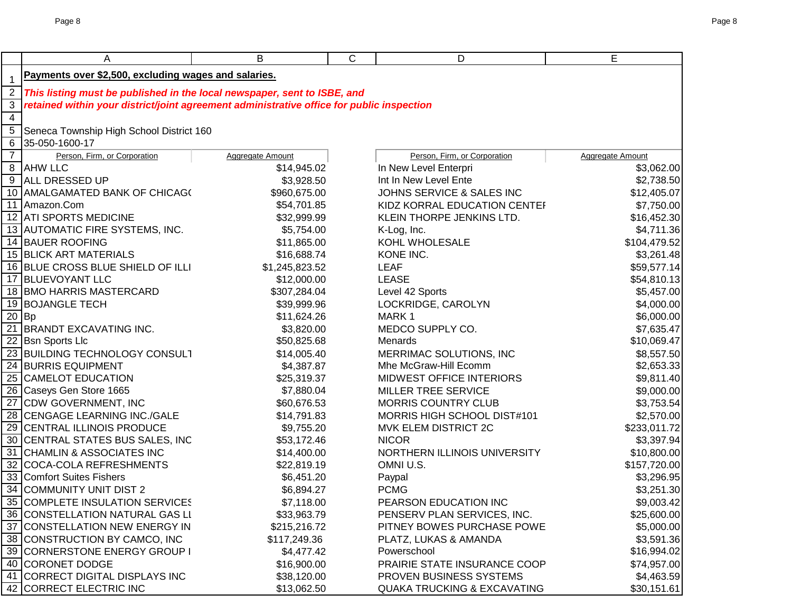|                     | A                                                                                                                                                                     | B                          | C | D                                      | E                         |
|---------------------|-----------------------------------------------------------------------------------------------------------------------------------------------------------------------|----------------------------|---|----------------------------------------|---------------------------|
|                     | Payments over \$2,500, excluding wages and salaries.                                                                                                                  |                            |   |                                        |                           |
| $\mathbf 1$         |                                                                                                                                                                       |                            |   |                                        |                           |
| $\overline{2}$<br>3 | This listing must be published in the local newspaper, sent to ISBE, and<br>retained within your district/joint agreement administrative office for public inspection |                            |   |                                        |                           |
| $\overline{4}$      |                                                                                                                                                                       |                            |   |                                        |                           |
| $\overline{5}$      | Seneca Township High School District 160                                                                                                                              |                            |   |                                        |                           |
| 6                   | 35-050-1600-17                                                                                                                                                        |                            |   |                                        |                           |
| $\overline{7}$      | Person, Firm, or Corporation                                                                                                                                          | <b>Aggregate Amount</b>    |   | Person, Firm, or Corporation           | Aggregate Amount          |
|                     | 8 AHW LLC                                                                                                                                                             | \$14,945.02                |   | In New Level Enterpri                  | \$3,062.00                |
|                     | 9 ALL DRESSED UP                                                                                                                                                      | \$3,928.50                 |   | Int In New Level Ente                  | \$2,738.50                |
|                     | 10 AMALGAMATED BANK OF CHICAGO                                                                                                                                        | \$960,675.00               |   | JOHNS SERVICE & SALES INC              | \$12,405.07               |
|                     | 11 Amazon.Com                                                                                                                                                         | \$54,701.85                |   | KIDZ KORRAL EDUCATION CENTEF           | \$7,750.00                |
|                     | 12 ATI SPORTS MEDICINE                                                                                                                                                | \$32,999.99                |   | KLEIN THORPE JENKINS LTD.              | \$16,452.30               |
|                     | 13 AUTOMATIC FIRE SYSTEMS, INC.                                                                                                                                       | \$5,754.00                 |   | K-Log, Inc.                            | \$4,711.36                |
|                     | 14 BAUER ROOFING                                                                                                                                                      | \$11,865.00                |   | KOHL WHOLESALE                         | \$104,479.52              |
|                     | <b>15 BLICK ART MATERIALS</b>                                                                                                                                         | \$16,688.74                |   | KONE INC.                              | \$3,261.48                |
|                     | 16 BLUE CROSS BLUE SHIELD OF ILLI                                                                                                                                     | \$1,245,823.52             |   | <b>LEAF</b>                            | \$59,577.14               |
|                     | 17 BLUEVOYANT LLC                                                                                                                                                     | \$12,000.00                |   | <b>LEASE</b>                           | \$54,810.13               |
|                     | 18 BMO HARRIS MASTERCARD                                                                                                                                              | \$307,284.04               |   | Level 42 Sports                        | \$5,457.00                |
|                     | 19 BOJANGLE TECH                                                                                                                                                      | \$39,999.96                |   | LOCKRIDGE, CAROLYN                     | \$4,000.00                |
|                     | $20$ Bp                                                                                                                                                               | \$11,624.26                |   | MARK1                                  | \$6,000.00                |
|                     | 21 BRANDT EXCAVATING INC.                                                                                                                                             | \$3,820.00                 |   | MEDCO SUPPLY CO.                       | \$7,635.47                |
|                     | 22 Bsn Sports Llc                                                                                                                                                     | \$50,825.68                |   | Menards                                | \$10,069.47               |
|                     | 23 BUILDING TECHNOLOGY CONSULT                                                                                                                                        | \$14,005.40                |   | MERRIMAC SOLUTIONS, INC                | \$8,557.50                |
|                     | 24 BURRIS EQUIPMENT                                                                                                                                                   | \$4,387.87                 |   | Mhe McGraw-Hill Ecomm                  | \$2,653.33                |
|                     | 25 CAMELOT EDUCATION                                                                                                                                                  | \$25,319.37                |   | MIDWEST OFFICE INTERIORS               | \$9,811.40                |
|                     | 26 Caseys Gen Store 1665                                                                                                                                              | \$7,880.04                 |   | <b>MILLER TREE SERVICE</b>             | \$9,000.00                |
|                     | 27 CDW GOVERNMENT, INC                                                                                                                                                | \$60,676.53                |   | <b>MORRIS COUNTRY CLUB</b>             | \$3,753.54                |
|                     | 28 CENGAGE LEARNING INC./GALE                                                                                                                                         | \$14,791.83                |   | MORRIS HIGH SCHOOL DIST#101            | \$2,570.00                |
| 29                  | <b>CENTRAL ILLINOIS PRODUCE</b>                                                                                                                                       | \$9,755.20                 |   | MVK ELEM DISTRICT 2C                   | \$233,011.72              |
|                     | 30 CENTRAL STATES BUS SALES, INC                                                                                                                                      | \$53,172.46                |   | <b>NICOR</b>                           | \$3,397.94                |
| 31                  | <b>CHAMLIN &amp; ASSOCIATES INC</b>                                                                                                                                   | \$14,400.00                |   | NORTHERN ILLINOIS UNIVERSITY           | \$10,800.00               |
|                     | 32 COCA-COLA REFRESHMENTS                                                                                                                                             | \$22,819.19                |   | OMNI U.S.                              | \$157,720.00              |
|                     | 33 Comfort Suites Fishers                                                                                                                                             | \$6,451.20                 |   | Paypal                                 | \$3,296.95                |
|                     | 34 COMMUNITY UNIT DIST 2                                                                                                                                              | \$6,894.27                 |   | <b>PCMG</b>                            | \$3,251.30                |
|                     | 35 COMPLETE INSULATION SERVICES                                                                                                                                       | \$7,118.00                 |   | PEARSON EDUCATION INC                  | \$9,003.42                |
|                     | 36 CONSTELLATION NATURAL GAS LI                                                                                                                                       | \$33,963.79                |   | PENSERV PLAN SERVICES, INC.            | \$25,600.00               |
|                     | 37 CONSTELLATION NEW ENERGY IN                                                                                                                                        | \$215,216.72               |   | PITNEY BOWES PURCHASE POWE             | \$5,000.00                |
|                     | 38 CONSTRUCTION BY CAMCO, INC<br>39 CORNERSTONE ENERGY GROUP I                                                                                                        | \$117,249.36<br>\$4,477.42 |   | PLATZ, LUKAS & AMANDA<br>Powerschool   | \$3,591.36<br>\$16,994.02 |
|                     | 40 CORONET DODGE                                                                                                                                                      | \$16,900.00                |   | PRAIRIE STATE INSURANCE COOP           | \$74,957.00               |
|                     | 41 CORRECT DIGITAL DISPLAYS INC                                                                                                                                       | \$38,120.00                |   | PROVEN BUSINESS SYSTEMS                | \$4,463.59                |
|                     | 42 CORRECT ELECTRIC INC                                                                                                                                               | \$13,062.50                |   | <b>QUAKA TRUCKING &amp; EXCAVATING</b> | \$30,151.61               |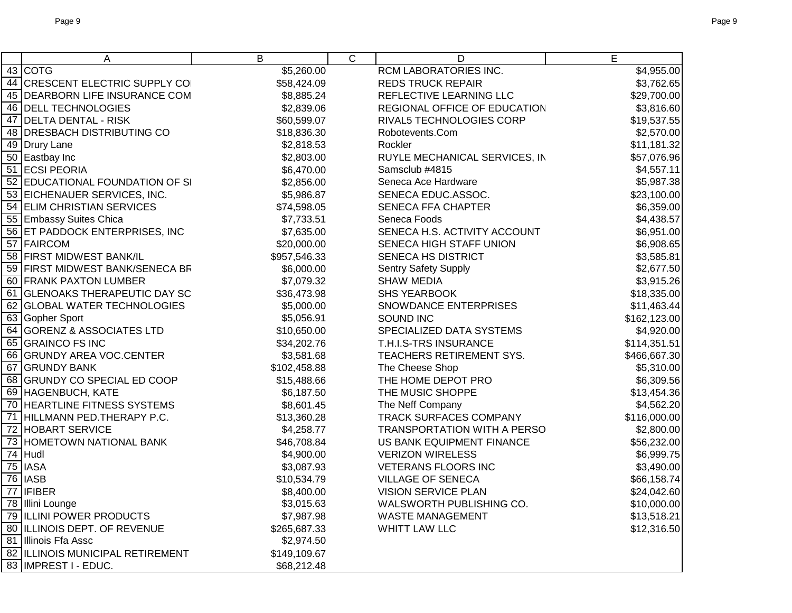|    | A                                  | Β            | $\overline{C}$ | D                                  | $\overline{E}$ |
|----|------------------------------------|--------------|----------------|------------------------------------|----------------|
|    | 43 COTG                            | \$5,260.00   |                | RCM LABORATORIES INC.              | \$4,955.00     |
|    | 44 CRESCENT ELECTRIC SUPPLY COI    | \$58,424.09  |                | <b>REDS TRUCK REPAIR</b>           | \$3,762.65     |
|    | 45 DEARBORN LIFE INSURANCE COM     | \$8,885.24   |                | REFLECTIVE LEARNING LLC            | \$29,700.00    |
|    | 46 DELL TECHNOLOGIES               | \$2,839.06   |                | REGIONAL OFFICE OF EDUCATION       | \$3,816.60     |
|    | 47 DELTA DENTAL - RISK             | \$60,599.07  |                | RIVAL5 TECHNOLOGIES CORP           | \$19,537.55    |
|    | 48 DRESBACH DISTRIBUTING CO        | \$18,836.30  |                | Robotevents.Com                    | \$2,570.00     |
|    | 49 Drury Lane                      | \$2,818.53   |                | Rockler                            | \$11,181.32    |
|    | 50 Eastbay Inc                     | \$2,803.00   |                | RUYLE MECHANICAL SERVICES, IN      | \$57,076.96    |
|    | 51 ECSI PEORIA                     | \$6,470.00   |                | Samsclub #4815                     | \$4,557.11     |
|    | 52 EDUCATIONAL FOUNDATION OF SI    | \$2,856.00   |                | Seneca Ace Hardware                | \$5,987.38     |
|    | 53 EICHENAUER SERVICES, INC.       | \$5,986.87   |                | SENECA EDUC.ASSOC.                 | \$23,100.00    |
|    | 54 ELIM CHRISTIAN SERVICES         | \$74,598.05  |                | <b>SENECA FFA CHAPTER</b>          | \$6,359.00     |
|    | 55 Embassy Suites Chica            | \$7,733.51   |                | Seneca Foods                       | \$4,438.57     |
|    | 56 ET PADDOCK ENTERPRISES, INC     | \$7,635.00   |                | SENECA H.S. ACTIVITY ACCOUNT       | \$6,951.00     |
|    | 57 FAIRCOM                         | \$20,000.00  |                | SENECA HIGH STAFF UNION            | \$6,908.65     |
|    | 58 FIRST MIDWEST BANK/IL           | \$957,546.33 |                | SENECA HS DISTRICT                 | \$3,585.81     |
|    | 59 FIRST MIDWEST BANK/SENECA BR    | \$6,000.00   |                | <b>Sentry Safety Supply</b>        | \$2,677.50     |
|    | 60 FRANK PAXTON LUMBER             | \$7,079.32   |                | <b>SHAW MEDIA</b>                  | \$3,915.26     |
| 61 | <b>GLENOAKS THERAPEUTIC DAY SC</b> | \$36,473.98  |                | <b>SHS YEARBOOK</b>                | \$18,335.00    |
|    | 62 GLOBAL WATER TECHNOLOGIES       | \$5,000.00   |                | SNOWDANCE ENTERPRISES              | \$11,463.44    |
|    | 63 Gopher Sport                    | \$5,056.91   |                | SOUND INC                          | \$162,123.00   |
|    | 64 GORENZ & ASSOCIATES LTD         | \$10,650.00  |                | SPECIALIZED DATA SYSTEMS           | \$4,920.00     |
|    | 65 GRAINCO FS INC                  | \$34,202.76  |                | T.H.I.S-TRS INSURANCE              | \$114,351.51   |
|    | 66 GRUNDY AREA VOC.CENTER          | \$3,581.68   |                | TEACHERS RETIREMENT SYS.           | \$466,667.30   |
|    | 67 GRUNDY BANK                     | \$102,458.88 |                | The Cheese Shop                    | \$5,310.00     |
|    | 68 GRUNDY CO SPECIAL ED COOP       | \$15,488.66  |                | THE HOME DEPOT PRO                 | \$6,309.56     |
|    | 69 HAGENBUCH, KATE                 | \$6,187.50   |                | THE MUSIC SHOPPE                   | \$13,454.36    |
|    | 70 HEARTLINE FITNESS SYSTEMS       | \$8,601.45   |                | The Neff Company                   | \$4,562.20     |
|    | 71 HILLMANN PED.THERAPY P.C.       | \$13,360.28  |                | TRACK SURFACES COMPANY             | \$116,000.00   |
|    | 72 HOBART SERVICE                  | \$4,258.77   |                | <b>TRANSPORTATION WITH A PERSO</b> | \$2,800.00     |
|    | 73 HOMETOWN NATIONAL BANK          | \$46,708.84  |                | US BANK EQUIPMENT FINANCE          | \$56,232.00    |
|    | $\overline{74}$ Hudl               | \$4,900.00   |                | <b>VERIZON WIRELESS</b>            | \$6,999.75     |
|    | $75$ IASA                          | \$3,087.93   |                | <b>VETERANS FLOORS INC</b>         | \$3,490.00     |
|    | $\overline{76}$ IASB               | \$10,534.79  |                | <b>VILLAGE OF SENECA</b>           | \$66,158.74    |
|    | $\overline{77}$ IFIBER             | \$8,400.00   |                | VISION SERVICE PLAN                | \$24,042.60    |
|    | 78 Illini Lounge                   | \$3,015.63   |                | WALSWORTH PUBLISHING CO.           | \$10,000.00    |
|    | 79 ILLINI POWER PRODUCTS           | \$7,987.98   |                | <b>WASTE MANAGEMENT</b>            | \$13,518.21    |
|    | 80 ILLINOIS DEPT. OF REVENUE       | \$265,687.33 |                | <b>WHITT LAW LLC</b>               | \$12,316.50    |
|    | 81 Illinois Ffa Assc               | \$2,974.50   |                |                                    |                |
|    | 82 ILLINOIS MUNICIPAL RETIREMENT   | \$149,109.67 |                |                                    |                |
|    | 83 IMPREST I - EDUC.               | \$68,212.48  |                |                                    |                |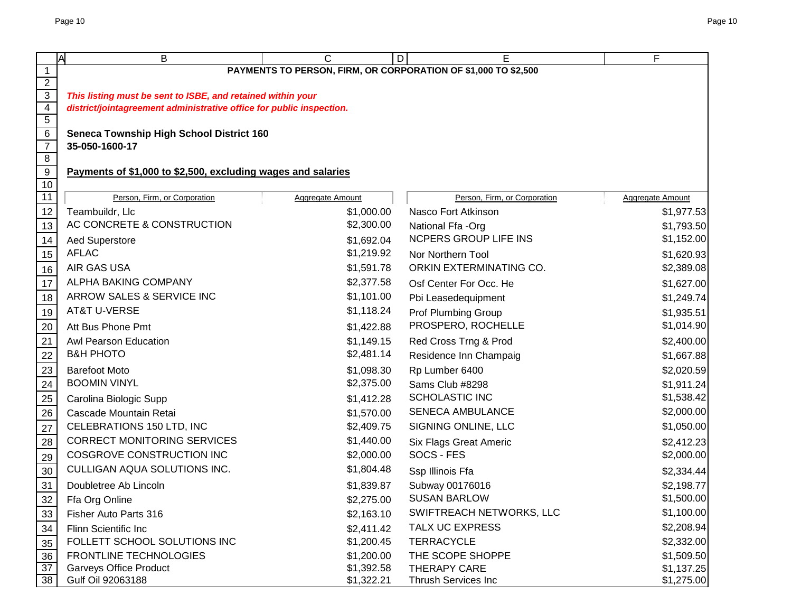|                                  | A<br>B                                                               | C                | E<br>D                                                         | F                       |
|----------------------------------|----------------------------------------------------------------------|------------------|----------------------------------------------------------------|-------------------------|
| $\mathbf{1}$                     |                                                                      |                  | PAYMENTS TO PERSON, FIRM, OR CORPORATION OF \$1,000 TO \$2,500 |                         |
| $\overline{2}$                   |                                                                      |                  |                                                                |                         |
| $\overline{3}$                   | This listing must be sent to ISBE, and retained within your          |                  |                                                                |                         |
| $\overline{4}$                   | district/jointagreement administrative office for public inspection. |                  |                                                                |                         |
| $\overline{5}$                   |                                                                      |                  |                                                                |                         |
| 6                                | <b>Seneca Township High School District 160</b>                      |                  |                                                                |                         |
| $\overline{7}$<br>$\overline{8}$ | 35-050-1600-17                                                       |                  |                                                                |                         |
| 9                                | Payments of \$1,000 to \$2,500, excluding wages and salaries         |                  |                                                                |                         |
| $10$                             |                                                                      |                  |                                                                |                         |
| 11                               | Person, Firm, or Corporation                                         | Aggregate Amount | Person, Firm, or Corporation                                   | <b>Aggregate Amount</b> |
| 12                               | Teambuildr, Llc                                                      | \$1,000.00       | Nasco Fort Atkinson                                            | \$1,977.53              |
| 13                               | AC CONCRETE & CONSTRUCTION                                           | \$2,300.00       | National Ffa -Org                                              | \$1,793.50              |
| 14                               | <b>Aed Superstore</b>                                                | \$1,692.04       | NCPERS GROUP LIFE INS                                          | \$1,152.00              |
| 15                               | <b>AFLAC</b>                                                         | \$1,219.92       | Nor Northern Tool                                              | \$1,620.93              |
| 16                               | AIR GAS USA                                                          | \$1,591.78       | ORKIN EXTERMINATING CO.                                        | \$2,389.08              |
| $17$                             | ALPHA BAKING COMPANY                                                 | \$2,377.58       | Osf Center For Occ. He                                         | \$1,627.00              |
| $18$                             | ARROW SALES & SERVICE INC                                            | \$1,101.00       | Pbi Leasedequipment                                            | \$1,249.74              |
| 19                               | <b>AT&amp;T U-VERSE</b>                                              | \$1,118.24       | <b>Prof Plumbing Group</b>                                     | \$1,935.51              |
| 20                               | Att Bus Phone Pmt                                                    | \$1,422.88       | PROSPERO, ROCHELLE                                             | \$1,014.90              |
| 21                               | Awl Pearson Education                                                | \$1,149.15       | Red Cross Trng & Prod                                          | \$2,400.00              |
| $\overline{22}$                  | <b>B&amp;H PHOTO</b>                                                 | \$2,481.14       | Residence Inn Champaig                                         | \$1,667.88              |
| 23                               | <b>Barefoot Moto</b>                                                 | \$1,098.30       | Rp Lumber 6400                                                 | \$2,020.59              |
| $\overline{24}$                  | <b>BOOMIN VINYL</b>                                                  | \$2,375.00       | Sams Club #8298                                                | \$1,911.24              |
| 25                               | Carolina Biologic Supp                                               | \$1,412.28       | <b>SCHOLASTIC INC</b>                                          | \$1,538.42              |
| 26                               | Cascade Mountain Retai                                               | \$1,570.00       | <b>SENECA AMBULANCE</b>                                        | \$2,000.00              |
| 27                               | CELEBRATIONS 150 LTD, INC                                            | \$2,409.75       | SIGNING ONLINE, LLC                                            | \$1,050.00              |
| 28                               | <b>CORRECT MONITORING SERVICES</b>                                   | \$1,440.00       | <b>Six Flags Great Americ</b>                                  | \$2,412.23              |
| 29                               | COSGROVE CONSTRUCTION INC                                            | \$2,000.00       | SOCS - FES                                                     | \$2,000.00              |
| $30\,$                           | CULLIGAN AQUA SOLUTIONS INC.                                         | \$1,804.48       | Ssp Illinois Ffa                                               | \$2,334.44              |
| 31                               | Doubletree Ab Lincoln                                                | \$1,839.87       | Subway 00176016                                                | \$2,198.77              |
| $\frac{32}{ }$                   | Ffa Org Online                                                       | \$2,275.00       | <b>SUSAN BARLOW</b>                                            | \$1,500.00              |
| 33                               | Fisher Auto Parts 316                                                | \$2,163.10       | SWIFTREACH NETWORKS, LLC                                       | \$1,100.00              |
| $\frac{34}{5}$                   | Flinn Scientific Inc                                                 | \$2,411.42       | TALX UC EXPRESS                                                | \$2,208.94              |
| 35                               | FOLLETT SCHOOL SOLUTIONS INC                                         | \$1,200.45       | <b>TERRACYCLE</b>                                              | \$2,332.00              |
| 36                               | <b>FRONTLINE TECHNOLOGIES</b>                                        | \$1,200.00       | THE SCOPE SHOPPE                                               | \$1,509.50              |
| 37                               | <b>Garveys Office Product</b>                                        | \$1,392.58       | THERAPY CARE                                                   | \$1,137.25              |
| 38                               | Gulf Oil 92063188                                                    | \$1,322.21       | Thrush Services Inc                                            | \$1,275.00              |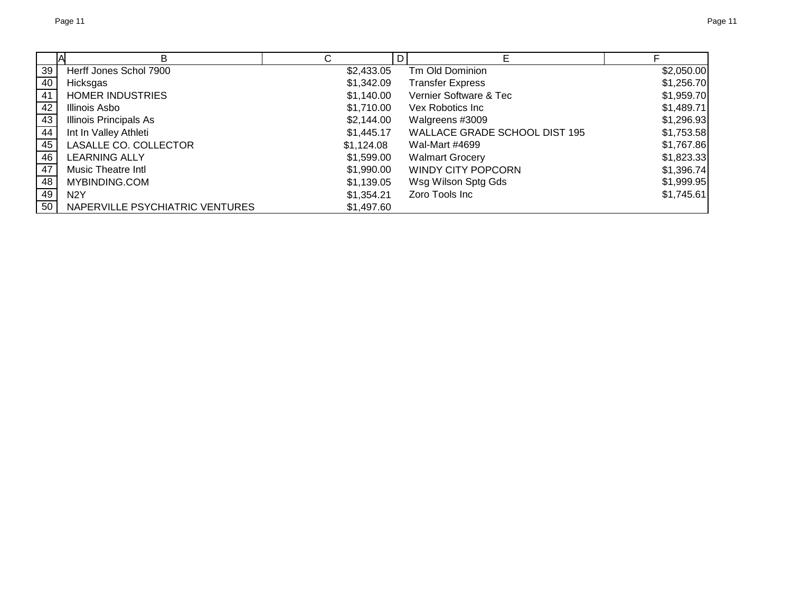|                 | B                               |            | D |                               |            |
|-----------------|---------------------------------|------------|---|-------------------------------|------------|
| 39              | Herff Jones Schol 7900          | \$2,433.05 |   | Tm Old Dominion               | \$2,050.00 |
| 40              | Hicksgas                        | \$1,342.09 |   | <b>Transfer Express</b>       | \$1,256.70 |
| $\overline{41}$ | <b>HOMER INDUSTRIES</b>         | \$1,140.00 |   | Vernier Software & Tec        | \$1,959.70 |
| 42              | Illinois Asbo                   | \$1,710.00 |   | Vex Robotics Inc              | \$1,489.71 |
| 43              | <b>Illinois Principals As</b>   | \$2,144.00 |   | Walgreens #3009               | \$1,296.93 |
| 44              | Int In Valley Athleti           | \$1,445.17 |   | WALLACE GRADE SCHOOL DIST 195 | \$1,753.58 |
| 45              | LASALLE CO. COLLECTOR           | \$1,124.08 |   | Wal-Mart #4699                | \$1,767.86 |
| 46              | <b>LEARNING ALLY</b>            | \$1,599.00 |   | <b>Walmart Grocery</b>        | \$1,823.33 |
| 47              | <b>Music Theatre Intl</b>       | \$1,990.00 |   | <b>WINDY CITY POPCORN</b>     | \$1,396.74 |
| 48              | MYBINDING.COM                   | \$1,139.05 |   | Wsg Wilson Sptg Gds           | \$1,999.95 |
| 49              | N <sub>2</sub> Y                | \$1,354.21 |   | Zoro Tools Inc                | \$1,745.61 |
| 50              | NAPERVILLE PSYCHIATRIC VENTURES | \$1,497.60 |   |                               |            |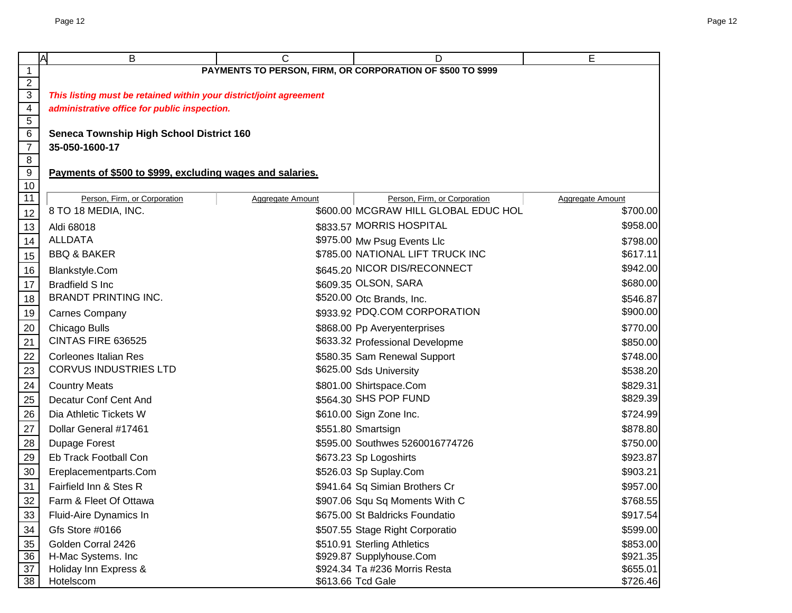|                                                                                 | A<br>В                                                             | C                       | D                                                          | E                       |  |  |  |  |
|---------------------------------------------------------------------------------|--------------------------------------------------------------------|-------------------------|------------------------------------------------------------|-------------------------|--|--|--|--|
| $\mathbf{1}$                                                                    |                                                                    |                         | PAYMENTS TO PERSON, FIRM, OR CORPORATION OF \$500 TO \$999 |                         |  |  |  |  |
| $\overline{2}$                                                                  |                                                                    |                         |                                                            |                         |  |  |  |  |
| $\overline{3}$                                                                  | This listing must be retained within your district/joint agreement |                         |                                                            |                         |  |  |  |  |
| $\overline{4}$                                                                  | administrative office for public inspection.                       |                         |                                                            |                         |  |  |  |  |
| $\frac{5}{6}$                                                                   |                                                                    |                         |                                                            |                         |  |  |  |  |
|                                                                                 | <b>Seneca Township High School District 160</b>                    |                         |                                                            |                         |  |  |  |  |
| $\overline{7}$<br>$\overline{8}$                                                | 35-050-1600-17                                                     |                         |                                                            |                         |  |  |  |  |
| $\overline{9}$                                                                  | Payments of \$500 to \$999, excluding wages and salaries.          |                         |                                                            |                         |  |  |  |  |
| $\overline{10}$                                                                 |                                                                    |                         |                                                            |                         |  |  |  |  |
| $\overline{11}$                                                                 | Person, Firm, or Corporation                                       | <b>Aggregate Amount</b> | Person, Firm, or Corporation                               | <b>Aggregate Amount</b> |  |  |  |  |
| 12                                                                              | 8 TO 18 MEDIA, INC.                                                |                         | \$600.00 MCGRAW HILL GLOBAL EDUC HOL                       | \$700.00                |  |  |  |  |
| 13                                                                              | Aldi 68018                                                         |                         | \$833.57 MORRIS HOSPITAL                                   | \$958.00                |  |  |  |  |
| 14                                                                              | <b>ALLDATA</b>                                                     |                         | \$975.00 Mw Psug Events Llc                                | \$798.00                |  |  |  |  |
| 15                                                                              | <b>BBQ &amp; BAKER</b>                                             |                         | \$785.00 NATIONAL LIFT TRUCK INC                           | \$617.11                |  |  |  |  |
| 16                                                                              | <b>Blankstyle.Com</b>                                              |                         | \$645.20 NICOR DIS/RECONNECT                               | \$942.00                |  |  |  |  |
| $\overline{17}$                                                                 | <b>Bradfield S Inc.</b>                                            |                         | \$609.35 OLSON, SARA                                       | \$680.00                |  |  |  |  |
| 18                                                                              | <b>BRANDT PRINTING INC.</b>                                        |                         | \$520.00 Otc Brands, Inc.                                  | \$546.87                |  |  |  |  |
| 19                                                                              | <b>Carnes Company</b>                                              |                         | \$933.92 PDQ.COM CORPORATION                               | \$900.00                |  |  |  |  |
|                                                                                 | Chicago Bulls                                                      |                         | \$868.00 Pp Averyenterprises                               | \$770.00                |  |  |  |  |
|                                                                                 | CINTAS FIRE 636525                                                 |                         | \$633.32 Professional Developme                            | \$850.00                |  |  |  |  |
|                                                                                 | <b>Corleones Italian Res</b>                                       |                         | \$580.35 Sam Renewal Support                               | \$748.00                |  |  |  |  |
| $\frac{20}{21}$ $\frac{22}{23}$ $\frac{23}{24}$ $\frac{25}{25}$ $\frac{26}{27}$ | <b>CORVUS INDUSTRIES LTD</b>                                       |                         | \$625.00 Sds University                                    | \$538.20                |  |  |  |  |
|                                                                                 | <b>Country Meats</b>                                               |                         | \$801.00 Shirtspace.Com                                    | \$829.31                |  |  |  |  |
|                                                                                 | Decatur Conf Cent And                                              |                         | \$564.30 SHS POP FUND                                      | \$829.39                |  |  |  |  |
|                                                                                 | Dia Athletic Tickets W                                             |                         | \$610.00 Sign Zone Inc.                                    | \$724.99                |  |  |  |  |
|                                                                                 | Dollar General #17461                                              |                         | \$551.80 Smartsign                                         | \$878.80                |  |  |  |  |
| 28                                                                              | Dupage Forest                                                      |                         | \$595.00 Southwes 5260016774726                            | \$750.00                |  |  |  |  |
| 29                                                                              | Eb Track Football Con                                              |                         | \$673.23 Sp Logoshirts                                     | \$923.87                |  |  |  |  |
| 30                                                                              | Ereplacementparts.Com                                              |                         | \$526.03 Sp Suplay.Com                                     | \$903.21                |  |  |  |  |
| 31                                                                              | Fairfield Inn & Stes R                                             |                         | \$941.64 Sq Simian Brothers Cr                             | \$957.00                |  |  |  |  |
| $\frac{32}{2}$                                                                  | Farm & Fleet Of Ottawa                                             |                         | \$907.06 Squ Sq Moments With C                             | \$768.55                |  |  |  |  |
| 33                                                                              | Fluid-Aire Dynamics In                                             |                         | \$675.00 St Baldricks Foundatio                            | \$917.54                |  |  |  |  |
|                                                                                 | Gfs Store #0166                                                    |                         | \$507.55 Stage Right Corporatio                            | \$599.00                |  |  |  |  |
| $\frac{34}{35}$                                                                 | Golden Corral 2426                                                 |                         | \$510.91 Sterling Athletics                                | \$853.00                |  |  |  |  |
| 36                                                                              | H-Mac Systems. Inc                                                 |                         | \$929.87 Supplyhouse.Com                                   | \$921.35                |  |  |  |  |
| $\overline{37}$                                                                 | Holiday Inn Express &                                              |                         | \$924.34 Ta #236 Morris Resta                              | \$655.01                |  |  |  |  |
| 38                                                                              | Hotelscom                                                          |                         | \$613.66 Tcd Gale                                          | \$726.46                |  |  |  |  |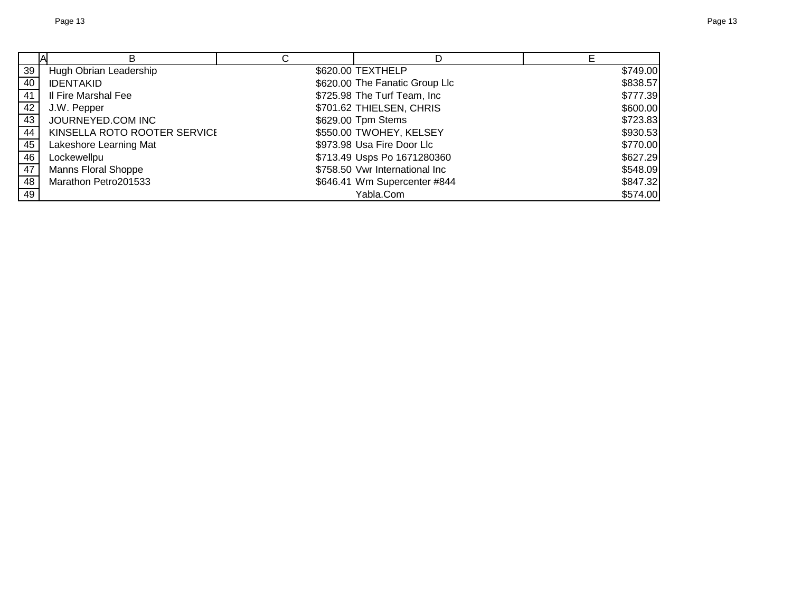|    | В                            |                                |          |
|----|------------------------------|--------------------------------|----------|
| 39 | Hugh Obrian Leadership       | \$620.00 TEXTHELP              | \$749.00 |
| 40 | <b>IDENTAKID</b>             | \$620.00 The Fanatic Group Llc | \$838.57 |
| 41 | Il Fire Marshal Fee          | \$725.98 The Turf Team, Inc    | \$777.39 |
| 42 | J.W. Pepper                  | \$701.62 THIELSEN, CHRIS       | \$600.00 |
| 43 | JOURNEYED.COM INC            | \$629.00 Tpm Stems             | \$723.83 |
| 44 | KINSELLA ROTO ROOTER SERVICE | \$550.00 TWOHEY, KELSEY        | \$930.53 |
| 45 | Lakeshore Learning Mat       | \$973.98 Usa Fire Door Llc     | \$770.00 |
| 46 | Lockewellpu                  | \$713.49 Usps Po 1671280360    | \$627.29 |
| 47 | <b>Manns Floral Shoppe</b>   | \$758.50 Vwr International Inc | \$548.09 |
| 48 | Marathon Petro201533         | \$646.41 Wm Supercenter #844   | \$847.32 |
| 49 |                              | Yabla.Com                      | \$574.00 |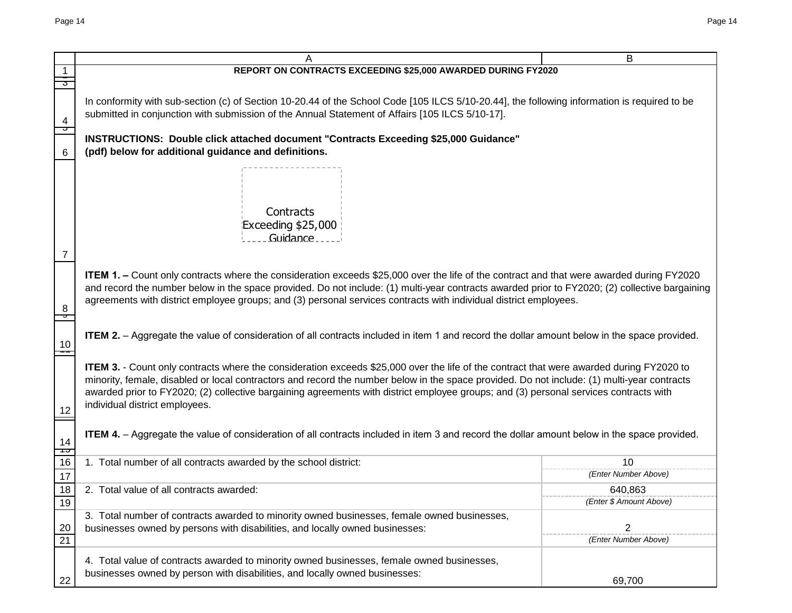|          |                                                                                                                                                                                                                                                                                                                                                                                                                                                                           | B                          |  |  |  |
|----------|---------------------------------------------------------------------------------------------------------------------------------------------------------------------------------------------------------------------------------------------------------------------------------------------------------------------------------------------------------------------------------------------------------------------------------------------------------------------------|----------------------------|--|--|--|
|          | REPORT ON CONTRACTS EXCEEDING \$25,000 AWARDED DURING FY2020                                                                                                                                                                                                                                                                                                                                                                                                              |                            |  |  |  |
|          |                                                                                                                                                                                                                                                                                                                                                                                                                                                                           |                            |  |  |  |
| 4<br>᠊ᢦ  | In conformity with sub-section (c) of Section 10-20.44 of the School Code [105 ILCS 5/10-20.44], the following information is required to be<br>submitted in conjunction with submission of the Annual Statement of Affairs [105 ILCS 5/10-17].                                                                                                                                                                                                                           |                            |  |  |  |
| 6        | INSTRUCTIONS: Double click attached document "Contracts Exceeding \$25,000 Guidance"<br>(pdf) below for additional guidance and definitions.                                                                                                                                                                                                                                                                                                                              |                            |  |  |  |
| 7        | Contracts<br>Exceeding \$25,000<br>Guidance.                                                                                                                                                                                                                                                                                                                                                                                                                              |                            |  |  |  |
|          |                                                                                                                                                                                                                                                                                                                                                                                                                                                                           |                            |  |  |  |
| 8<br>ᢦ   | <b>ITEM 1. –</b> Count only contracts where the consideration exceeds \$25,000 over the life of the contract and that were awarded during FY2020<br>and record the number below in the space provided. Do not include: (1) multi-year contracts awarded prior to FY2020; (2) collective bargaining<br>agreements with district employee groups; and (3) personal services contracts with individual district employees.                                                   |                            |  |  |  |
| 10       | <b>ITEM 2.</b> - Aggregate the value of consideration of all contracts included in item 1 and record the dollar amount below in the space provided.                                                                                                                                                                                                                                                                                                                       |                            |  |  |  |
| 12       | <b>ITEM 3.</b> - Count only contracts where the consideration exceeds \$25,000 over the life of the contract that were awarded during FY2020 to<br>minority, female, disabled or local contractors and record the number below in the space provided. Do not include: (1) multi-year contracts<br>awarded prior to FY2020; (2) collective bargaining agreements with district employee groups; and (3) personal services contracts with<br>individual district employees. |                            |  |  |  |
| 14<br>᠇ᠣ | ITEM 4. - Aggregate the value of consideration of all contracts included in item 3 and record the dollar amount below in the space provided.                                                                                                                                                                                                                                                                                                                              |                            |  |  |  |
| 16<br>17 | 1. Total number of all contracts awarded by the school district:                                                                                                                                                                                                                                                                                                                                                                                                          | 10<br>(Enter Number Above) |  |  |  |
| 18       | 2. Total value of all contracts awarded:                                                                                                                                                                                                                                                                                                                                                                                                                                  | 640,863                    |  |  |  |
| 19       |                                                                                                                                                                                                                                                                                                                                                                                                                                                                           | (Enter \$ Amount Above)    |  |  |  |
| 20<br>21 | 3. Total number of contracts awarded to minority owned businesses, female owned businesses,<br>businesses owned by persons with disabilities, and locally owned businesses:                                                                                                                                                                                                                                                                                               | 2<br>(Enter Number Above)  |  |  |  |
| 22       | 4. Total value of contracts awarded to minority owned businesses, female owned businesses,<br>businesses owned by person with disabilities, and locally owned businesses:                                                                                                                                                                                                                                                                                                 | 69,700                     |  |  |  |